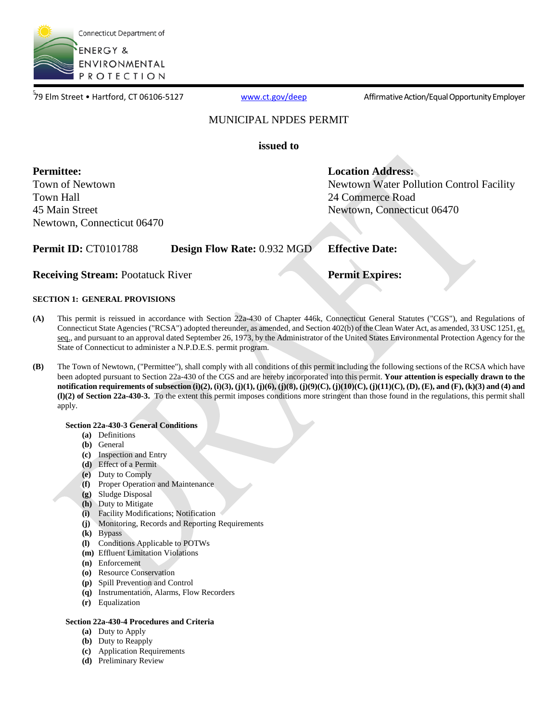

79 Elm Street • Hartford. CT 06106-5127

[www.ct.gov/deep](http://www.ct.gov/deep) **Affirmative Action/Equal Opportunity Employer** 

Newtown Water Pollution Control Facility

### MUNICIPAL NPDES PERMIT

**issued to**

**Permittee:**  Town of Newtown Town Hall 45 Main Street Newtown, Connecticut 06470

### **Permit ID:** CT0101788 **Design Flow Rate:** 0.932 MGD **Effective Date:**

**Receiving Stream:** Pootatuck River **Permit Expires:** 

**Location Address:**

24 Commerce Road

Newtown, Connecticut 06470

### **SECTION 1: GENERAL PROVISIONS**

- **(A)** This permit is reissued in accordance with Section 22a-430 of Chapter 446k, Connecticut General Statutes ("CGS"), and Regulations of Connecticut State Agencies ("RCSA") adopted thereunder, as amended, and Section 402(b) of the Clean Water Act, as amended, 33 USC 1251, et. seq., and pursuant to an approval dated September 26, 1973, by the Administrator of the United States Environmental Protection Agency for the State of Connecticut to administer a N.P.D.E.S. permit program.
- **(B)** The Town of Newtown, ("Permittee"), shall comply with all conditions of this permit including the following sections of the RCSA which have been adopted pursuant to Section 22a-430 of the CGS and are hereby incorporated into this permit. **Your attention is especially drawn to the notification requirements of subsection (i)(2), (i)(3), (j)(1), (j)(6), (j)(8), (j)(9)(C), (j)(10)(C), (j)(11)(C), (D), (E), and (F), (k)(3) and (4) and (l)(2) of Section 22a-430-3.** To the extent this permit imposes conditions more stringent than those found in the regulations, this permit shall apply.

### **Section 22a-430-3 General Conditions**

- **(a)** Definitions
- **(b)** General
- **(c)** Inspection and Entry
- **(d)** Effect of a Permit
- **(e)** Duty to Comply
- **(f)** Proper Operation and Maintenance
- **(g)** Sludge Disposal
- **(h)** Duty to Mitigate
- **(i)** Facility Modifications; Notification
- **(j)** Monitoring, Records and Reporting Requirements
- **(k)** Bypass
- **(l)** Conditions Applicable to POTWs
- **(m)** Effluent Limitation Violations
- **(n)** Enforcement
- **(o)** Resource Conservation
- **(p)** Spill Prevention and Control
- **(q)** Instrumentation, Alarms, Flow Recorders
- **(r)** Equalization

### **Section 22a-430-4 Procedures and Criteria**

- **(a)** Duty to Apply
- **(b)** Duty to Reapply
- **(c)** Application Requirements
- **(d)** Preliminary Review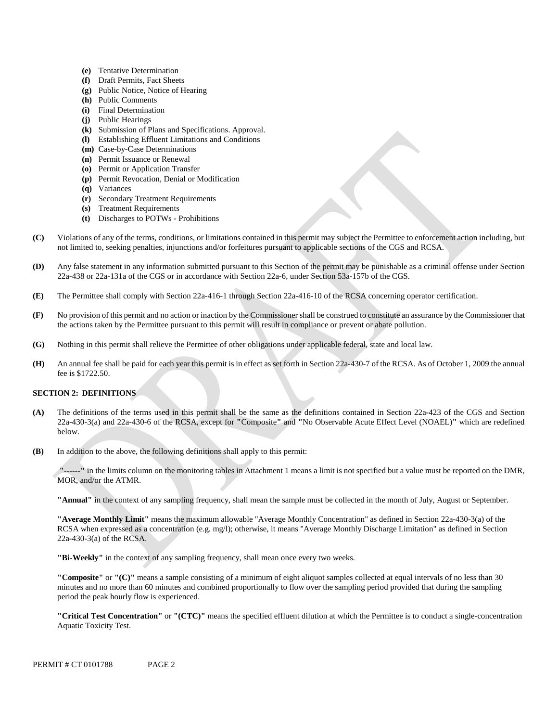- **(e)** Tentative Determination
- **(f)** Draft Permits, Fact Sheets
- **(g)** Public Notice, Notice of Hearing
- **(h)** Public Comments
- **(i)** Final Determination
- **(j)** Public Hearings
- **(k)** Submission of Plans and Specifications. Approval.
- **(l)** Establishing Effluent Limitations and Conditions
- **(m)** Case-by-Case Determinations
- **(n)** Permit Issuance or Renewal
- **(o)** Permit or Application Transfer
- **(p)** Permit Revocation, Denial or Modification
- **(q)** Variances
- **(r)** Secondary Treatment Requirements
- **(s)** Treatment Requirements
- **(t)** Discharges to POTWs Prohibitions
- **(C)** Violations of any of the terms, conditions, or limitations contained in this permit may subject the Permittee to enforcement action including, but not limited to, seeking penalties, injunctions and/or forfeitures pursuant to applicable sections of the CGS and RCSA.
- **(D)** Any false statement in any information submitted pursuant to this Section of the permit may be punishable as a criminal offense under Section 22a-438 or 22a-131a of the CGS or in accordance with Section 22a-6, under Section 53a-157b of the CGS.
- **(E)** The Permittee shall comply with Section 22a-416-1 through Section 22a-416-10 of the RCSA concerning operator certification.
- **(F)** No provision of this permit and no action or inaction by the Commissioner shall be construed to constitute an assurance by the Commissioner that the actions taken by the Permittee pursuant to this permit will result in compliance or prevent or abate pollution.
- **(G)** Nothing in this permit shall relieve the Permittee of other obligations under applicable federal, state and local law.
- **(H)** An annual fee shall be paid for each year this permit is in effect as set forth in Section 22a-430-7 of the RCSA. As of October 1, 2009 the annual fee is \$1722.50.

### **SECTION 2: DEFINITIONS**

- **(A)** The definitions of the terms used in this permit shall be the same as the definitions contained in Section 22a-423 of the CGS and Section 22a-430-3(a) and 22a-430-6 of the RCSA, except for **"**Composite**"** and **"**No Observable Acute Effect Level (NOAEL)**"** which are redefined below.
- **(B)** In addition to the above, the following definitions shall apply to this permit:

 **"------"** in the limits column on the monitoring tables in Attachment 1 means a limit is not specified but a value must be reported on the DMR, MOR, and/or the ATMR.

**"Annual"** in the context of any sampling frequency, shall mean the sample must be collected in the month of July, August or September.

**"Average Monthly Limit"** means the maximum allowable "Average Monthly Concentration" as defined in Section 22a-430-3(a) of the RCSA when expressed as a concentration (e.g. mg/l); otherwise, it means "Average Monthly Discharge Limitation" as defined in Section 22a-430-3(a) of the RCSA.

**"Bi-Weekly"** in the context of any sampling frequency, shall mean once every two weeks.

**"Composite"** or **"(C)"** means a sample consisting of a minimum of eight aliquot samples collected at equal intervals of no less than 30 minutes and no more than 60 minutes and combined proportionally to flow over the sampling period provided that during the sampling period the peak hourly flow is experienced.

**"Critical Test Concentration"** or **"(CTC)"** means the specified effluent dilution at which the Permittee is to conduct a single-concentration Aquatic Toxicity Test.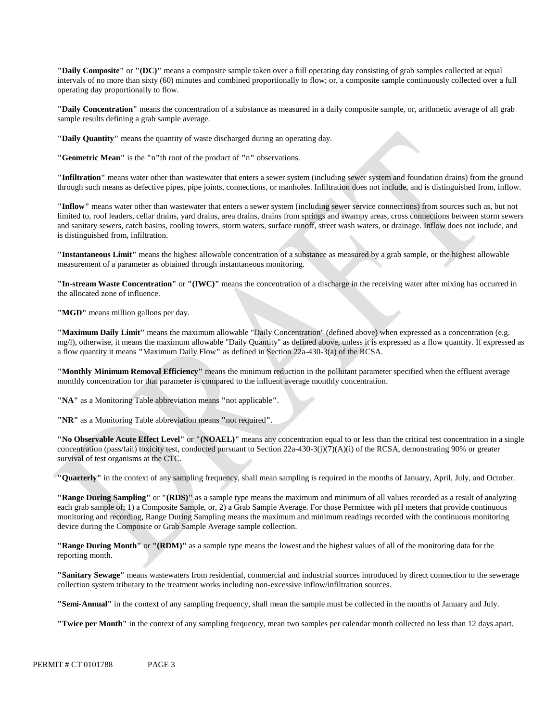**"Daily Composite"** or **"(DC)"** means a composite sample taken over a full operating day consisting of grab samples collected at equal intervals of no more than sixty (60) minutes and combined proportionally to flow; or, a composite sample continuously collected over a full operating day proportionally to flow.

**"Daily Concentration"** means the concentration of a substance as measured in a daily composite sample, or, arithmetic average of all grab sample results defining a grab sample average.

**"Daily Quantity"** means the quantity of waste discharged during an operating day.

**"Geometric Mean"** is the **"**n**"**th root of the product of **"**n**"** observations.

**"Infiltration"** means water other than wastewater that enters a sewer system (including sewer system and foundation drains) from the ground through such means as defective pipes, pipe joints, connections, or manholes. Infiltration does not include, and is distinguished from, inflow.

**"Inflow"** means water other than wastewater that enters a sewer system (including sewer service connections) from sources such as, but not limited to, roof leaders, cellar drains, yard drains, area drains, drains from springs and swampy areas, cross connections between storm sewers and sanitary sewers, catch basins, cooling towers, storm waters, surface runoff, street wash waters, or drainage. Inflow does not include, and is distinguished from, infiltration.

**"Instantaneous Limit"** means the highest allowable concentration of a substance as measured by a grab sample, or the highest allowable measurement of a parameter as obtained through instantaneous monitoring.

**"In-stream Waste Concentration"** or **"(IWC)"** means the concentration of a discharge in the receiving water after mixing has occurred in the allocated zone of influence.

**"MGD"** means million gallons per day.

**"Maximum Daily Limit"** means the maximum allowable "Daily Concentration" (defined above) when expressed as a concentration (e.g. mg/l), otherwise, it means the maximum allowable "Daily Quantity" as defined above, unless it is expressed as a flow quantity. If expressed as a flow quantity it means **"**Maximum Daily Flow**"** as defined in Section 22a-430-3(a) of the RCSA.

**"Monthly Minimum Removal Efficiency"** means the minimum reduction in the pollutant parameter specified when the effluent average monthly concentration for that parameter is compared to the influent average monthly concentration.

**"NA"** as a Monitoring Table abbreviation means **"**not applicable**"**.

**"NR"** as a Monitoring Table abbreviation means **"**not required**"**.

**"No Observable Acute Effect Level"** or **"(NOAEL)"** means any concentration equal to or less than the critical test concentration in a single concentration (pass/fail) toxicity test, conducted pursuant to Section 22a-430-3(j)(7)(A)(i) of the RCSA, demonstrating 90% or greater survival of test organisms at the CTC.

**"Quarterly"** in the context of any sampling frequency, shall mean sampling is required in the months of January, April, July, and October.

**"Range During Sampling"** or **"(RDS)"** as a sample type means the maximum and minimum of all values recorded as a result of analyzing each grab sample of; 1) a Composite Sample, or, 2) a Grab Sample Average. For those Permittee with pH meters that provide continuous monitoring and recording, Range During Sampling means the maximum and minimum readings recorded with the continuous monitoring device during the Composite or Grab Sample Average sample collection.

**"Range During Month"** or **"(RDM)"** as a sample type means the lowest and the highest values of all of the monitoring data for the reporting month.

**"Sanitary Sewage"** means wastewaters from residential, commercial and industrial sources introduced by direct connection to the sewerage collection system tributary to the treatment works including non-excessive inflow/infiltration sources.

**"Semi-Annual"** in the context of any sampling frequency, shall mean the sample must be collected in the months of January and July.

**"Twice per Month"** in the context of any sampling frequency, mean two samples per calendar month collected no less than 12 days apart.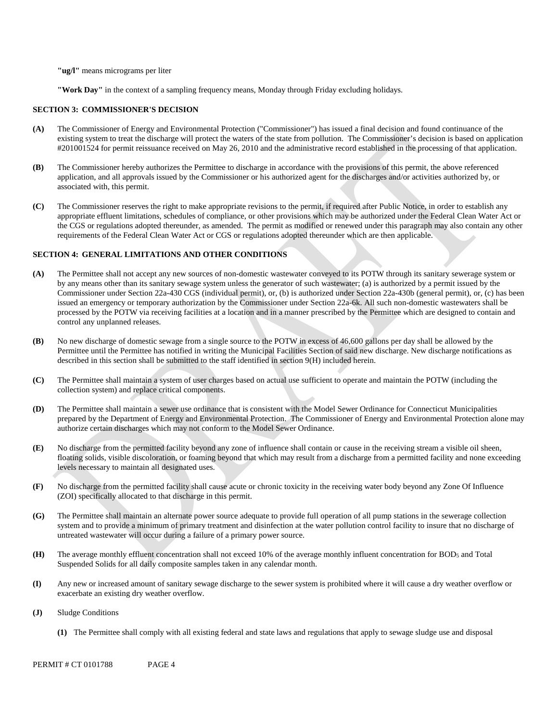**"ug/l"** means micrograms per liter

**"Work Day"** in the context of a sampling frequency means, Monday through Friday excluding holidays.

### **SECTION 3: COMMISSIONER'S DECISION**

- **(A)** The Commissioner of Energy and Environmental Protection ("Commissioner") has issued a final decision and found continuance of the existing system to treat the discharge will protect the waters of the state from pollution. The Commissioner's decision is based on application #201001524 for permit reissuance received on May 26, 2010 and the administrative record established in the processing of that application.
- **(B)** The Commissioner hereby authorizes the Permittee to discharge in accordance with the provisions of this permit, the above referenced application, and all approvals issued by the Commissioner or his authorized agent for the discharges and/or activities authorized by, or associated with, this permit.
- **(C)** The Commissioner reserves the right to make appropriate revisions to the permit, if required after Public Notice, in order to establish any appropriate effluent limitations, schedules of compliance, or other provisions which may be authorized under the Federal Clean Water Act or the CGS or regulations adopted thereunder, as amended. The permit as modified or renewed under this paragraph may also contain any other requirements of the Federal Clean Water Act or CGS or regulations adopted thereunder which are then applicable.

#### **SECTION 4: GENERAL LIMITATIONS AND OTHER CONDITIONS**

- **(A)** The Permittee shall not accept any new sources of non-domestic wastewater conveyed to its POTW through its sanitary sewerage system or by any means other than its sanitary sewage system unless the generator of such wastewater; (a) is authorized by a permit issued by the Commissioner under Section 22a-430 CGS (individual permit), or, (b) is authorized under Section 22a-430b (general permit), or, (c) has been issued an emergency or temporary authorization by the Commissioner under Section 22a-6k. All such non-domestic wastewaters shall be processed by the POTW via receiving facilities at a location and in a manner prescribed by the Permittee which are designed to contain and control any unplanned releases.
- **(B)** No new discharge of domestic sewage from a single source to the POTW in excess of 46,600 gallons per day shall be allowed by the Permittee until the Permittee has notified in writing the Municipal Facilities Section of said new discharge. New discharge notifications as described in this section shall be submitted to the staff identified in section 9(H) included herein.
- **(C)** The Permittee shall maintain a system of user charges based on actual use sufficient to operate and maintain the POTW (including the collection system) and replace critical components.
- **(D)** The Permittee shall maintain a sewer use ordinance that is consistent with the Model Sewer Ordinance for Connecticut Municipalities prepared by the Department of Energy and Environmental Protection. The Commissioner of Energy and Environmental Protection alone may authorize certain discharges which may not conform to the Model Sewer Ordinance.
- **(E)** No discharge from the permitted facility beyond any zone of influence shall contain or cause in the receiving stream a visible oil sheen, floating solids, visible discoloration, or foaming beyond that which may result from a discharge from a permitted facility and none exceeding levels necessary to maintain all designated uses.
- **(F)** No discharge from the permitted facility shall cause acute or chronic toxicity in the receiving water body beyond any Zone Of Influence (ZOI) specifically allocated to that discharge in this permit.
- **(G)** The Permittee shall maintain an alternate power source adequate to provide full operation of all pump stations in the sewerage collection system and to provide a minimum of primary treatment and disinfection at the water pollution control facility to insure that no discharge of untreated wastewater will occur during a failure of a primary power source.
- **(H)** The average monthly effluent concentration shall not exceed 10% of the average monthly influent concentration for BOD5 and Total Suspended Solids for all daily composite samples taken in any calendar month.
- **(I)** Any new or increased amount of sanitary sewage discharge to the sewer system is prohibited where it will cause a dry weather overflow or exacerbate an existing dry weather overflow.
- **(J)** Sludge Conditions
	- **(1)** The Permittee shall comply with all existing federal and state laws and regulations that apply to sewage sludge use and disposal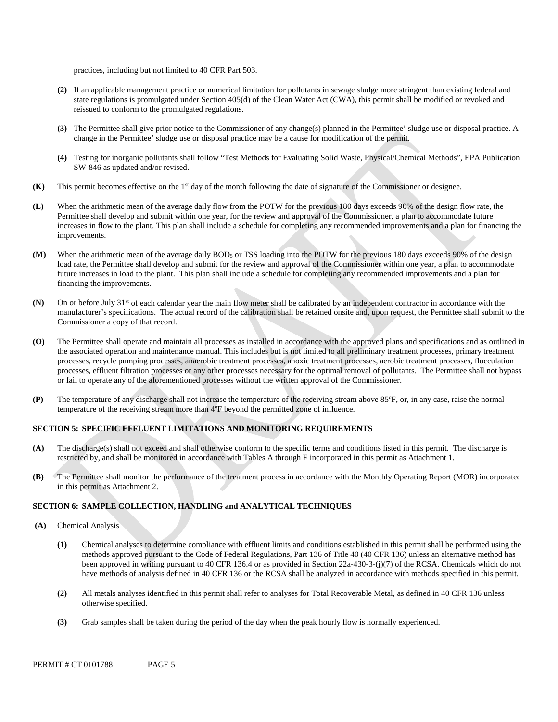practices, including but not limited to 40 CFR Part 503.

- **(2)** If an applicable management practice or numerical limitation for pollutants in sewage sludge more stringent than existing federal and state regulations is promulgated under Section 405(d) of the Clean Water Act (CWA), this permit shall be modified or revoked and reissued to conform to the promulgated regulations.
- **(3)** The Permittee shall give prior notice to the Commissioner of any change(s) planned in the Permittee' sludge use or disposal practice. A change in the Permittee' sludge use or disposal practice may be a cause for modification of the permit.
- **(4)** Testing for inorganic pollutants shall follow "Test Methods for Evaluating Solid Waste, Physical/Chemical Methods", EPA Publication SW-846 as updated and/or revised.
- **(K)** This permit becomes effective on the 1st day of the month following the date of signature of the Commissioner or designee.
- **(L)** When the arithmetic mean of the average daily flow from the POTW for the previous 180 days exceeds 90% of the design flow rate, the Permittee shall develop and submit within one year, for the review and approval of the Commissioner, a plan to accommodate future increases in flow to the plant. This plan shall include a schedule for completing any recommended improvements and a plan for financing the improvements.
- **(M)** When the arithmetic mean of the average daily BOD5 or TSS loading into the POTW for the previous 180 days exceeds 90% of the design load rate, the Permittee shall develop and submit for the review and approval of the Commissioner within one year, a plan to accommodate future increases in load to the plant. This plan shall include a schedule for completing any recommended improvements and a plan for financing the improvements.
- **(N)** On or before July 31st of each calendar year the main flow meter shall be calibrated by an independent contractor in accordance with the manufacturer's specifications. The actual record of the calibration shall be retained onsite and, upon request, the Permittee shall submit to the Commissioner a copy of that record.
- **(O)** The Permittee shall operate and maintain all processes as installed in accordance with the approved plans and specifications and as outlined in the associated operation and maintenance manual. This includes but is not limited to all preliminary treatment processes, primary treatment processes, recycle pumping processes, anaerobic treatment processes, anoxic treatment processes, aerobic treatment processes, flocculation processes, effluent filtration processes or any other processes necessary for the optimal removal of pollutants. The Permittee shall not bypass or fail to operate any of the aforementioned processes without the written approval of the Commissioner.
- **(P)** The temperature of any discharge shall not increase the temperature of the receiving stream above 85ºF, or, in any case, raise the normal temperature of the receiving stream more than 4ºF beyond the permitted zone of influence.

### **SECTION 5: SPECIFIC EFFLUENT LIMITATIONS AND MONITORING REQUIREMENTS**

- **(A)** The discharge(s) shall not exceed and shall otherwise conform to the specific terms and conditions listed in this permit. The discharge is restricted by, and shall be monitored in accordance with Tables A through F incorporated in this permit as Attachment 1.
- **(B)** The Permittee shall monitor the performance of the treatment process in accordance with the Monthly Operating Report (MOR) incorporated in this permit as Attachment 2.

### **SECTION 6: SAMPLE COLLECTION, HANDLING and ANALYTICAL TECHNIQUES**

- **(A)** Chemical Analysis
	- **(1)** Chemical analyses to determine compliance with effluent limits and conditions established in this permit shall be performed using the methods approved pursuant to the Code of Federal Regulations, Part 136 of Title 40 (40 CFR 136) unless an alternative method has been approved in writing pursuant to 40 CFR 136.4 or as provided in Section 22a-430-3-(j)(7) of the RCSA. Chemicals which do not have methods of analysis defined in 40 CFR 136 or the RCSA shall be analyzed in accordance with methods specified in this permit.
	- **(2)** All metals analyses identified in this permit shall refer to analyses for Total Recoverable Metal, as defined in 40 CFR 136 unless otherwise specified.
	- **(3)** Grab samples shall be taken during the period of the day when the peak hourly flow is normally experienced.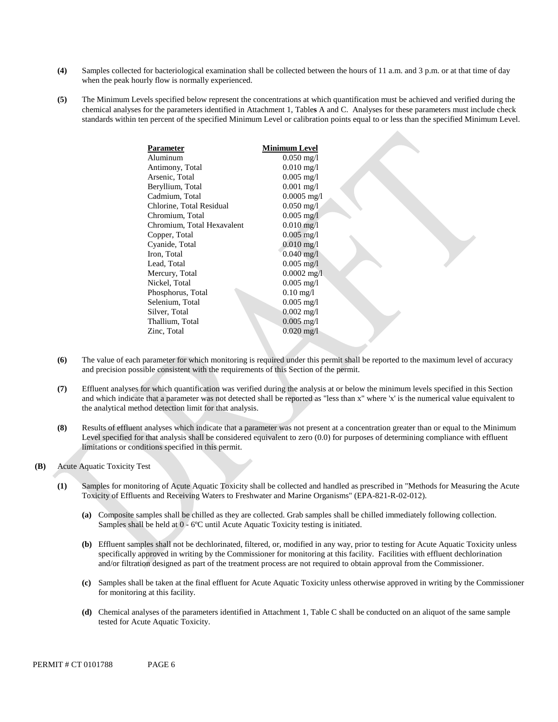- **(4)** Samples collected for bacteriological examination shall be collected between the hours of 11 a.m. and 3 p.m. or at that time of day when the peak hourly flow is normally experienced.
- **(5)** The Minimum Levels specified below represent the concentrations at which quantification must be achieved and verified during the chemical analyses for the parameters identified in Attachment 1, Table**s** A and C. Analyses for these parameters must include check standards within ten percent of the specified Minimum Level or calibration points equal to or less than the specified Minimum Level.

| Parameter                  | Minimum Level                    |
|----------------------------|----------------------------------|
| Aluminum                   | $0.050$ mg/l                     |
| Antimony, Total            | $0.010 \text{ mg}/1$             |
| Arsenic, Total             | $0.005$ mg/l                     |
| Beryllium, Total           | $0.001$ mg/l                     |
| Cadmium, Total             | $0.0005$ mg/l                    |
| Chlorine, Total Residual   | $0.050$ mg/l                     |
| Chromium, Total            | $0.005$ mg/l                     |
| Chromium, Total Hexavalent | $0.010$ mg/l                     |
| Copper, Total              | $0.005 \text{ mg}/1$             |
| Cyanide, Total             | $0.010$ mg/l                     |
| Iron, Total                | $0.040 \,\mathrm{mg}/\mathrm{l}$ |
| Lead, Total                | $0.005$ mg/l                     |
| Mercury, Total             | $0.0002$ mg/l                    |
| Nickel, Total              | $0.005$ mg/l                     |
| Phosphorus, Total          | $0.10 \,\mathrm{mg}/l$           |
| Selenium, Total            | $0.005 \text{ mg}/1$             |
| Silver, Total              | $0.002 \text{ mg}/1$             |
| Thallium, Total            | $0.005$ mg/l                     |
| Zinc, Total                | $0.020 \,\mathrm{mg}/l$          |
|                            |                                  |

- **(6)** The value of each parameter for which monitoring is required under this permit shall be reported to the maximum level of accuracy and precision possible consistent with the requirements of this Section of the permit.
- **(7)** Effluent analyses for which quantification was verified during the analysis at or below the minimum levels specified in this Section and which indicate that a parameter was not detected shall be reported as "less than x" where 'x' is the numerical value equivalent to the analytical method detection limit for that analysis.
- **(8)** Results of effluent analyses which indicate that a parameter was not present at a concentration greater than or equal to the Minimum Level specified for that analysis shall be considered equivalent to zero  $(0.0)$  for purposes of determining compliance with effluent limitations or conditions specified in this permit.
- **(B)** Acute Aquatic Toxicity Test
	- **(1)** Samples for monitoring of Acute Aquatic Toxicity shall be collected and handled as prescribed in "Methods for Measuring the Acute Toxicity of Effluents and Receiving Waters to Freshwater and Marine Organisms" (EPA-821-R-02-012).
		- **(a)** Composite samples shall be chilled as they are collected. Grab samples shall be chilled immediately following collection. Samples shall be held at 0 - 6ºC until Acute Aquatic Toxicity testing is initiated.
		- **(b)** Effluent samples shall not be dechlorinated, filtered, or, modified in any way, prior to testing for Acute Aquatic Toxicity unless specifically approved in writing by the Commissioner for monitoring at this facility. Facilities with effluent dechlorination and/or filtration designed as part of the treatment process are not required to obtain approval from the Commissioner.
		- **(c)** Samples shall be taken at the final effluent for Acute Aquatic Toxicity unless otherwise approved in writing by the Commissioner for monitoring at this facility.
		- **(d)** Chemical analyses of the parameters identified in Attachment 1, Table C shall be conducted on an aliquot of the same sample tested for Acute Aquatic Toxicity.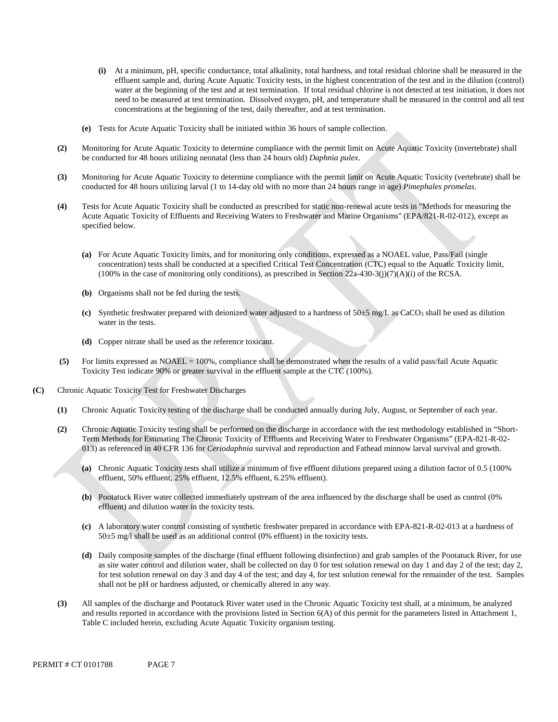- **(i)** At a minimum, pH, specific conductance, total alkalinity, total hardness, and total residual chlorine shall be measured in the effluent sample and, during Acute Aquatic Toxicity tests, in the highest concentration of the test and in the dilution (control) water at the beginning of the test and at test termination. If total residual chlorine is not detected at test initiation, it does not need to be measured at test termination. Dissolved oxygen, pH, and temperature shall be measured in the control and all test concentrations at the beginning of the test, daily thereafter, and at test termination.
- **(e)** Tests for Acute Aquatic Toxicity shall be initiated within 36 hours of sample collection.
- **(2)** Monitoring for Acute Aquatic Toxicity to determine compliance with the permit limit on Acute Aquatic Toxicity (invertebrate) shall be conducted for 48 hours utilizing neonatal (less than 24 hours old) *Daphnia pulex*.
- **(3)** Monitoring for Acute Aquatic Toxicity to determine compliance with the permit limit on Acute Aquatic Toxicity (vertebrate) shall be conducted for 48 hours utilizing larval (1 to 14-day old with no more than 24 hours range in age) *Pimephales promelas*.
- **(4)** Tests for Acute Aquatic Toxicity shall be conducted as prescribed for static non-renewal acute tests in "Methods for measuring the Acute Aquatic Toxicity of Effluents and Receiving Waters to Freshwater and Marine Organisms" (EPA/821-R-02-012), except as specified below.
	- **(a)** For Acute Aquatic Toxicity limits, and for monitoring only conditions, expressed as a NOAEL value, Pass/Fail (single concentration) tests shall be conducted at a specified Critical Test Concentration (CTC) equal to the Aquatic Toxicity limit,  $(100\%$  in the case of monitoring only conditions), as prescribed in Section 22a-430-3(j)(7)(A)(i) of the RCSA.
	- **(b)** Organisms shall not be fed during the tests.
	- **(c)** Synthetic freshwater prepared with deionized water adjusted to a hardness of 50±5 mg/L as CaCO3 shall be used as dilution water in the tests.
	- **(d)** Copper nitrate shall be used as the reference toxicant.
- **(5)** For limits expressed as NOAEL = 100%, compliance shall be demonstrated when the results of a valid pass/fail Acute Aquatic Toxicity Test indicate 90% or greater survival in the effluent sample at the CTC (100%).
- **(C)** Chronic Aquatic Toxicity Test for Freshwater Discharges
	- **(1)** Chronic Aquatic Toxicity testing of the discharge shall be conducted annually during July, August, or September of each year.
	- **(2)** Chronic Aquatic Toxicity testing shall be performed on the discharge in accordance with the test methodology established in "Short-Term Methods for Estimating The Chronic Toxicity of Effluents and Receiving Water to Freshwater Organisms" (EPA-821-R-02- 013) as referenced in 40 CFR 136 for *Ceriodaphnia* survival and reproduction and Fathead minnow larval survival and growth.
		- **(a)** Chronic Aquatic Toxicity tests shall utilize a minimum of five effluent dilutions prepared using a dilution factor of 0.5 (100% effluent, 50% effluent, 25% effluent, 12.5% effluent, 6.25% effluent).
		- **(b)** Pootatuck River water collected immediately upstream of the area influenced by the discharge shall be used as control (0% effluent) and dilution water in the toxicity tests.
		- **(c)** A laboratory water control consisting of synthetic freshwater prepared in accordance with EPA-821-R-02-013 at a hardness of 50±5 mg/l shall be used as an additional control (0% effluent) in the toxicity tests.
		- **(d)** Daily composite samples of the discharge (final effluent following disinfection) and grab samples of the Pootatuck River, for use as site water control and dilution water, shall be collected on day 0 for test solution renewal on day 1 and day 2 of the test; day 2, for test solution renewal on day 3 and day 4 of the test; and day 4, for test solution renewal for the remainder of the test. Samples shall not be pH or hardness adjusted, or chemically altered in any way.
	- **(3)** All samples of the discharge and Pootatuck River water used in the Chronic Aquatic Toxicity test shall, at a minimum, be analyzed and results reported in accordance with the provisions listed in Section  $6(A)$  of this permit for the parameters listed in Attachment 1, Table C included herein, excluding Acute Aquatic Toxicity organism testing.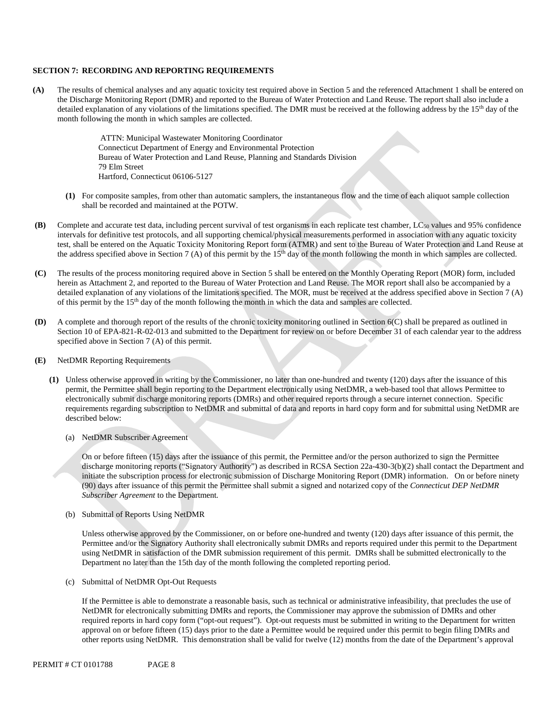#### **SECTION 7: RECORDING AND REPORTING REQUIREMENTS**

**(A)** The results of chemical analyses and any aquatic toxicity test required above in Section 5 and the referenced Attachment 1 shall be entered on the Discharge Monitoring Report (DMR) and reported to the Bureau of Water Protection and Land Reuse. The report shall also include a detailed explanation of any violations of the limitations specified. The DMR must be received at the following address by the 15<sup>th</sup> day of the month following the month in which samples are collected.

> ATTN: Municipal Wastewater Monitoring Coordinator Connecticut Department of Energy and Environmental Protection Bureau of Water Protection and Land Reuse, Planning and Standards Division 79 Elm Street Hartford, Connecticut 06106-5127

- **(1)** For composite samples, from other than automatic samplers, the instantaneous flow and the time of each aliquot sample collection shall be recorded and maintained at the POTW.
- **(B)** Complete and accurate test data, including percent survival of test organisms in each replicate test chamber, LC50 values and 95% confidence intervals for definitive test protocols, and all supporting chemical/physical measurements performed in association with any aquatic toxicity test, shall be entered on the Aquatic Toxicity Monitoring Report form (ATMR) and sent to the Bureau of Water Protection and Land Reuse at the address specified above in Section 7 (A) of this permit by the  $15<sup>th</sup>$  day of the month following the month in which samples are collected.
- **(C)** The results of the process monitoring required above in Section 5 shall be entered on the Monthly Operating Report (MOR) form, included herein as Attachment 2, and reported to the Bureau of Water Protection and Land Reuse. The MOR report shall also be accompanied by a detailed explanation of any violations of the limitations specified. The MOR, must be received at the address specified above in Section 7 (A) of this permit by the 15th day of the month following the month in which the data and samples are collected.
- **(D)** A complete and thorough report of the results of the chronic toxicity monitoring outlined in Section 6(C) shall be prepared as outlined in Section 10 of EPA-821-R-02-013 and submitted to the Department for review on or before December 31 of each calendar year to the address specified above in Section 7 (A) of this permit.
- **(E)** NetDMR Reporting Requirements
	- **(1)** Unless otherwise approved in writing by the Commissioner, no later than one-hundred and twenty (120) days after the issuance of this permit, the Permittee shall begin reporting to the Department electronically using NetDMR, a web-based tool that allows Permittee to electronically submit discharge monitoring reports (DMRs) and other required reports through a secure internet connection. Specific requirements regarding subscription to NetDMR and submittal of data and reports in hard copy form and for submittal using NetDMR are described below:
		- (a) NetDMR Subscriber Agreement

On or before fifteen (15) days after the issuance of this permit, the Permittee and/or the person authorized to sign the Permittee discharge monitoring reports ("Signatory Authority") as described in RCSA Section 22a-430-3(b)(2) shall contact the Department and initiate the subscription process for electronic submission of Discharge Monitoring Report (DMR) information. On or before ninety (90) days after issuance of this permit the Permittee shall submit a signed and notarized copy of the *Connecticut DEP NetDMR Subscriber Agreement* to the Department*.* 

(b) Submittal of Reports Using NetDMR

Unless otherwise approved by the Commissioner, on or before one-hundred and twenty (120) days after issuance of this permit, the Permittee and/or the Signatory Authority shall electronically submit DMRs and reports required under this permit to the Department using NetDMR in satisfaction of the DMR submission requirement of this permit. DMRs shall be submitted electronically to the Department no later than the 15th day of the month following the completed reporting period.

(c) Submittal of NetDMR Opt-Out Requests

If the Permittee is able to demonstrate a reasonable basis, such as technical or administrative infeasibility, that precludes the use of NetDMR for electronically submitting DMRs and reports, the Commissioner may approve the submission of DMRs and other required reports in hard copy form ("opt-out request"). Opt-out requests must be submitted in writing to the Department for written approval on or before fifteen (15) days prior to the date a Permittee would be required under this permit to begin filing DMRs and other reports using NetDMR. This demonstration shall be valid for twelve (12) months from the date of the Department's approval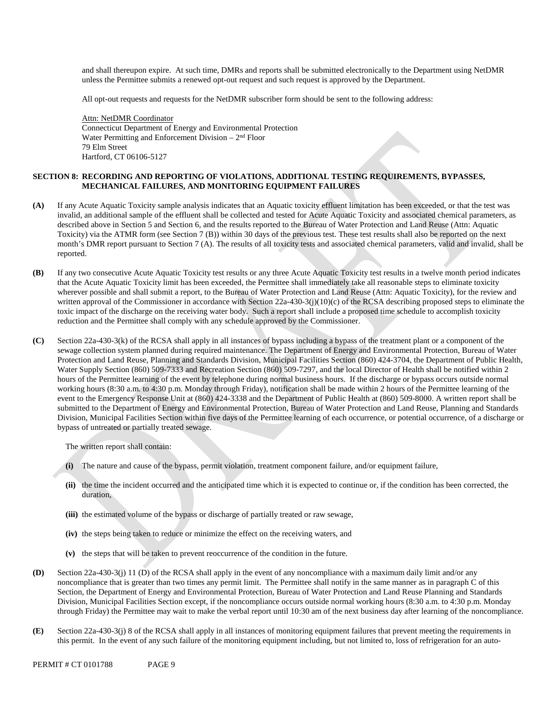and shall thereupon expire. At such time, DMRs and reports shall be submitted electronically to the Department using NetDMR unless the Permittee submits a renewed opt-out request and such request is approved by the Department.

All opt-out requests and requests for the NetDMR subscriber form should be sent to the following address:

Attn: NetDMR Coordinator Connecticut Department of Energy and Environmental Protection Water Permitting and Enforcement Division  $-2<sup>nd</sup>$  Floor 79 Elm Street Hartford, CT 06106-5127

### **SECTION 8: RECORDING AND REPORTING OF VIOLATIONS, ADDITIONAL TESTING REQUIREMENTS, BYPASSES, MECHANICAL FAILURES, AND MONITORING EQUIPMENT FAILURES**

- **(A)** If any Acute Aquatic Toxicity sample analysis indicates that an Aquatic toxicity effluent limitation has been exceeded, or that the test was invalid, an additional sample of the effluent shall be collected and tested for Acute Aquatic Toxicity and associated chemical parameters, as described above in Section 5 and Section 6, and the results reported to the Bureau of Water Protection and Land Reuse (Attn: Aquatic Toxicity) via the ATMR form (see Section 7 (B)) within 30 days of the previous test. These test results shall also be reported on the next month's DMR report pursuant to Section 7 (A). The results of all toxicity tests and associated chemical parameters, valid and invalid, shall be reported.
- **(B)** If any two consecutive Acute Aquatic Toxicity test results or any three Acute Aquatic Toxicity test results in a twelve month period indicates that the Acute Aquatic Toxicity limit has been exceeded, the Permittee shall immediately take all reasonable steps to eliminate toxicity wherever possible and shall submit a report, to the Bureau of Water Protection and Land Reuse (Attn: Aquatic Toxicity), for the review and written approval of the Commissioner in accordance with Section  $22a-430-3(j)(10)(c)$  of the RCSA describing proposed steps to eliminate the toxic impact of the discharge on the receiving water body. Such a report shall include a proposed time schedule to accomplish toxicity reduction and the Permittee shall comply with any schedule approved by the Commissioner.
- **(C)** Section 22a-430-3(k) of the RCSA shall apply in all instances of bypass including a bypass of the treatment plant or a component of the sewage collection system planned during required maintenance. The Department of Energy and Environmental Protection, Bureau of Water Protection and Land Reuse, Planning and Standards Division, Municipal Facilities Section (860) 424-3704, the Department of Public Health, Water Supply Section (860) 509-7333 and Recreation Section (860) 509-7297, and the local Director of Health shall be notified within 2 hours of the Permittee learning of the event by telephone during normal business hours. If the discharge or bypass occurs outside normal working hours (8:30 a.m. to 4:30 p.m. Monday through Friday), notification shall be made within 2 hours of the Permittee learning of the event to the Emergency Response Unit at (860) 424-3338 and the Department of Public Health at (860) 509-8000. A written report shall be submitted to the Department of Energy and Environmental Protection, Bureau of Water Protection and Land Reuse, Planning and Standards Division, Municipal Facilities Section within five days of the Permittee learning of each occurrence, or potential occurrence, of a discharge or bypass of untreated or partially treated sewage.

The written report shall contain:

- **(i)** The nature and cause of the bypass, permit violation, treatment component failure, and/or equipment failure,
- **(ii)** the time the incident occurred and the anticipated time which it is expected to continue or, if the condition has been corrected, the duration,
- **(iii)** the estimated volume of the bypass or discharge of partially treated or raw sewage,
- **(iv)** the steps being taken to reduce or minimize the effect on the receiving waters, and
- **(v)** the steps that will be taken to prevent reoccurrence of the condition in the future.
- **(D)** Section 22a-430-3(j) 11 (D) of the RCSA shall apply in the event of any noncompliance with a maximum daily limit and/or any noncompliance that is greater than two times any permit limit. The Permittee shall notify in the same manner as in paragraph C of this Section, the Department of Energy and Environmental Protection, Bureau of Water Protection and Land Reuse Planning and Standards Division, Municipal Facilities Section except, if the noncompliance occurs outside normal working hours (8:30 a.m. to 4:30 p.m. Monday through Friday) the Permittee may wait to make the verbal report until 10:30 am of the next business day after learning of the noncompliance.
- **(E)** Section 22a-430-3(j) 8 of the RCSA shall apply in all instances of monitoring equipment failures that prevent meeting the requirements in this permit. In the event of any such failure of the monitoring equipment including, but not limited to, loss of refrigeration for an auto-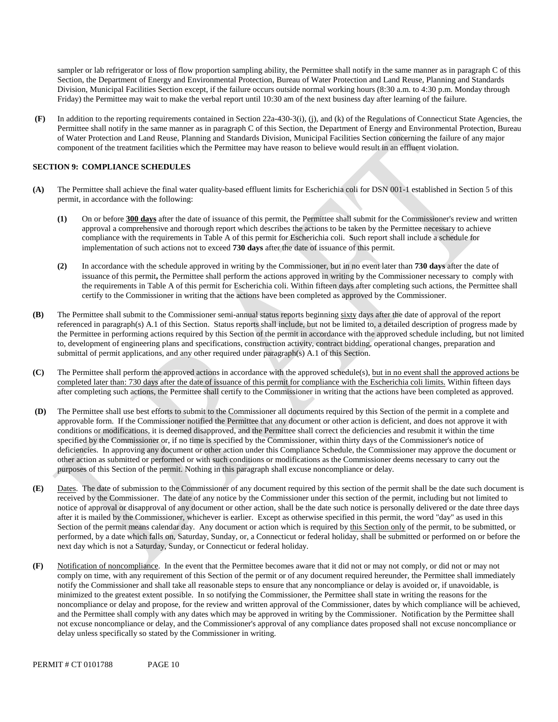sampler or lab refrigerator or loss of flow proportion sampling ability, the Permittee shall notify in the same manner as in paragraph C of this Section, the Department of Energy and Environmental Protection, Bureau of Water Protection and Land Reuse, Planning and Standards Division, Municipal Facilities Section except, if the failure occurs outside normal working hours (8:30 a.m. to 4:30 p.m. Monday through Friday) the Permittee may wait to make the verbal report until 10:30 am of the next business day after learning of the failure.

 **(F)** In addition to the reporting requirements contained in Section 22a-430-3(i), (j), and (k) of the Regulations of Connecticut State Agencies, the Permittee shall notify in the same manner as in paragraph C of this Section, the Department of Energy and Environmental Protection, Bureau of Water Protection and Land Reuse, Planning and Standards Division, Municipal Facilities Section concerning the failure of any major component of the treatment facilities which the Permittee may have reason to believe would result in an effluent violation.

### **SECTION 9: COMPLIANCE SCHEDULES**

- **(A)** The Permittee shall achieve the final water quality-based effluent limits for Escherichia coli for DSN 001-1 established in Section 5 of this permit, in accordance with the following:
	- **(1)** On or before **300 days** after the date of issuance of this permit, the Permittee shall submit for the Commissioner's review and written approval a comprehensive and thorough report which describes the actions to be taken by the Permittee necessary to achieve compliance with the requirements in Table A of this permit for Escherichia coli. Such report shall include a schedule for implementation of such actions not to exceed **730 days** after the date of issuance of this permit.
	- **(2)** In accordance with the schedule approved in writing by the Commissioner, but in no event later than **730 days** after the date of issuance of this permit**,** the Permittee shall perform the actions approved in writing by the Commissioner necessary to comply with the requirements in Table A of this permit for Escherichia coli. Within fifteen days after completing such actions, the Permittee shall certify to the Commissioner in writing that the actions have been completed as approved by the Commissioner.
- **(B)** The Permittee shall submit to the Commissioner semi-annual status reports beginning sixty days after the date of approval of the report referenced in paragraph(s) A.1 of this Section. Status reports shall include, but not be limited to, a detailed description of progress made by the Permittee in performing actions required by this Section of the permit in accordance with the approved schedule including, but not limited to, development of engineering plans and specifications, construction activity, contract bidding, operational changes, preparation and submittal of permit applications, and any other required under paragraph(s) A.1 of this Section.
- **(C)** The Permittee shall perform the approved actions in accordance with the approved schedule(s), but in no event shall the approved actions be completed later than: 730 days after the date of issuance of this permit for compliance with the Escherichia coli limits. Within fifteen days after completing such actions, the Permittee shall certify to the Commissioner in writing that the actions have been completed as approved.
- **(D)** The Permittee shall use best efforts to submit to the Commissioner all documents required by this Section of the permit in a complete and approvable form. If the Commissioner notified the Permittee that any document or other action is deficient, and does not approve it with conditions or modifications, it is deemed disapproved, and the Permittee shall correct the deficiencies and resubmit it within the time specified by the Commissioner or, if no time is specified by the Commissioner, within thirty days of the Commissioner's notice of deficiencies. In approving any document or other action under this Compliance Schedule, the Commissioner may approve the document or other action as submitted or performed or with such conditions or modifications as the Commissioner deems necessary to carry out the purposes of this Section of the permit. Nothing in this paragraph shall excuse noncompliance or delay.
- **(E)** Dates. The date of submission to the Commissioner of any document required by this section of the permit shall be the date such document is received by the Commissioner. The date of any notice by the Commissioner under this section of the permit, including but not limited to notice of approval or disapproval of any document or other action, shall be the date such notice is personally delivered or the date three days after it is mailed by the Commissioner, whichever is earlier. Except as otherwise specified in this permit, the word "day" as used in this Section of the permit means calendar day. Any document or action which is required by this Section only of the permit, to be submitted, or performed, by a date which falls on, Saturday, Sunday, or, a Connecticut or federal holiday, shall be submitted or performed on or before the next day which is not a Saturday, Sunday, or Connecticut or federal holiday.
- **(F)** Notification of noncompliance. In the event that the Permittee becomes aware that it did not or may not comply, or did not or may not comply on time, with any requirement of this Section of the permit or of any document required hereunder, the Permittee shall immediately notify the Commissioner and shall take all reasonable steps to ensure that any noncompliance or delay is avoided or, if unavoidable, is minimized to the greatest extent possible. In so notifying the Commissioner, the Permittee shall state in writing the reasons for the noncompliance or delay and propose, for the review and written approval of the Commissioner, dates by which compliance will be achieved, and the Permittee shall comply with any dates which may be approved in writing by the Commissioner. Notification by the Permittee shall not excuse noncompliance or delay, and the Commissioner's approval of any compliance dates proposed shall not excuse noncompliance or delay unless specifically so stated by the Commissioner in writing.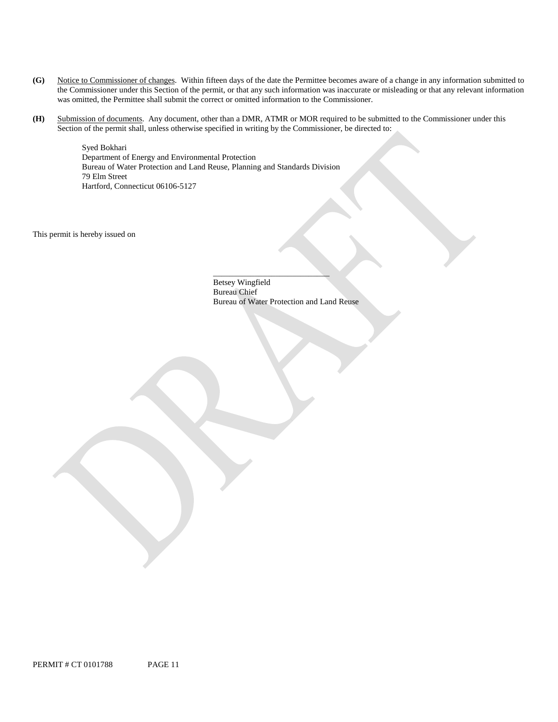- **(G)** Notice to Commissioner of changes. Within fifteen days of the date the Permittee becomes aware of a change in any information submitted to the Commissioner under this Section of the permit, or that any such information was inaccurate or misleading or that any relevant information was omitted, the Permittee shall submit the correct or omitted information to the Commissioner.
- **(H)** Submission of documents. Any document, other than a DMR, ATMR or MOR required to be submitted to the Commissioner under this Section of the permit shall, unless otherwise specified in writing by the Commissioner, be directed to:

Syed Bokhari Department of Energy and Environmental Protection Bureau of Water Protection and Land Reuse, Planning and Standards Division 79 Elm Street Hartford, Connecticut 06106-5127

This permit is hereby issued on

Betsey Wingfield Bureau Chief Bureau of Water Protection and Land Reuse

\_\_\_\_\_\_\_\_\_\_\_\_\_\_\_\_\_\_\_\_\_\_\_\_\_\_\_\_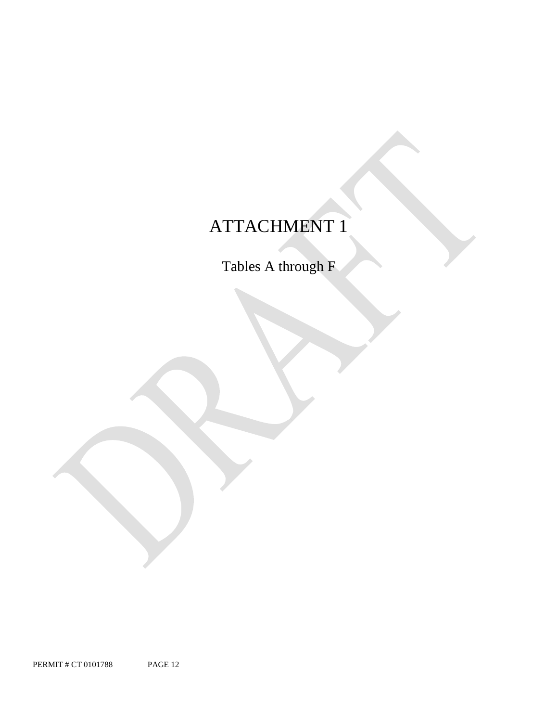# ATTACHMENT 1

Tables A through F

PERMIT # CT 0101788 PAGE 12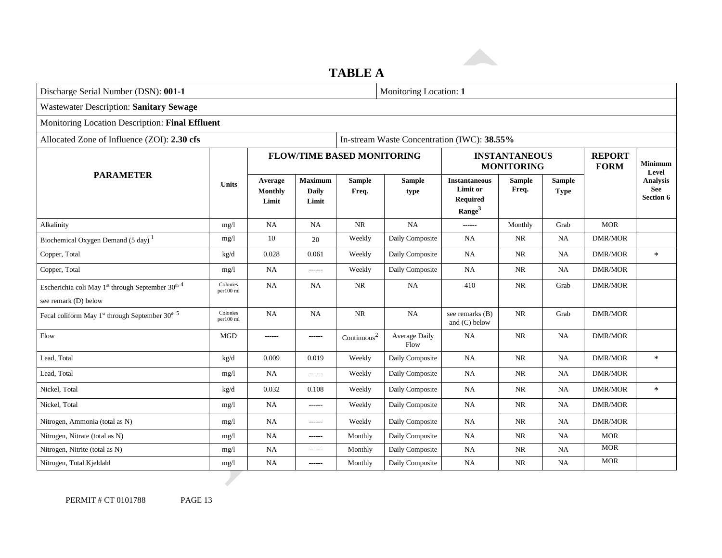**TABLE A**

| Discharge Serial Number (DSN): 001-1                                                              |                       |                             |                                         |                                   | Monitoring Location: 1 |                                                                           |                        |                              |                              |                                     |
|---------------------------------------------------------------------------------------------------|-----------------------|-----------------------------|-----------------------------------------|-----------------------------------|------------------------|---------------------------------------------------------------------------|------------------------|------------------------------|------------------------------|-------------------------------------|
| <b>Wastewater Description: Sanitary Sewage</b>                                                    |                       |                             |                                         |                                   |                        |                                                                           |                        |                              |                              |                                     |
| Monitoring Location Description: Final Effluent                                                   |                       |                             |                                         |                                   |                        |                                                                           |                        |                              |                              |                                     |
| Allocated Zone of Influence (ZOI): 2.30 cfs<br>In-stream Waste Concentration (IWC): 38.55%        |                       |                             |                                         |                                   |                        |                                                                           |                        |                              |                              |                                     |
|                                                                                                   |                       |                             |                                         | <b>FLOW/TIME BASED MONITORING</b> |                        | <b>INSTANTANEOUS</b><br><b>MONITORING</b>                                 |                        |                              | <b>REPORT</b><br><b>FORM</b> | <b>Minimum</b><br>Level             |
| <b>PARAMETER</b>                                                                                  | <b>Units</b>          | Average<br>Monthly<br>Limit | <b>Maximum</b><br><b>Daily</b><br>Limit | <b>Sample</b><br>Freq.            | <b>Sample</b><br>type  | <b>Instantaneous</b><br>Limit or<br><b>Required</b><br>Range <sup>3</sup> | <b>Sample</b><br>Freq. | <b>Sample</b><br><b>Type</b> |                              | <b>Analysis</b><br>See<br>Section 6 |
| Alkalinity                                                                                        | mg/1                  | <b>NA</b>                   | NA                                      | NR                                | NA                     | $-----$                                                                   | Monthly                | Grab                         | <b>MOR</b>                   |                                     |
| Biochemical Oxygen Demand (5 day) <sup>1</sup>                                                    | mg/l                  | 10                          | 20                                      | Weekly                            | Daily Composite        | NA                                                                        | <b>NR</b>              | <b>NA</b>                    | <b>DMR/MOR</b>               |                                     |
| Copper, Total                                                                                     | kg/d                  | 0.028                       | 0.061                                   | Weekly                            | Daily Composite        | <b>NA</b>                                                                 | NR                     | <b>NA</b>                    | <b>DMR/MOR</b>               | $\ast$                              |
| Copper, Total                                                                                     | mg/l                  | <b>NA</b>                   | -------                                 | Weekly                            | Daily Composite        | <b>NA</b>                                                                 | <b>NR</b>              | <b>NA</b>                    | <b>DMR/MOR</b>               |                                     |
| Escherichia coli May 1 <sup>st</sup> through September 30 <sup>th 4</sup><br>see remark (D) below | Colonies<br>per100 ml | <b>NA</b>                   | NA                                      | NR                                | <b>NA</b>              | 410                                                                       | <b>NR</b>              | Grab                         | <b>DMR/MOR</b>               |                                     |
| Fecal coliform May 1st through September 30th 5                                                   | Colonies<br>per100 ml | <b>NA</b>                   | NA                                      | NR                                | NA                     | see remarks (B)<br>and $(C)$ below                                        | NR                     | Grab                         | <b>DMR/MOR</b>               |                                     |
| Flow                                                                                              | <b>MGD</b>            | ------                      | $- - - - - -$                           | Continuous <sup>2</sup>           | Average Daily<br>Flow  | NA                                                                        | <b>NR</b>              | <b>NA</b>                    | <b>DMR/MOR</b>               |                                     |
| Lead, Total                                                                                       | kg/d                  | 0.009                       | 0.019                                   | Weekly                            | Daily Composite        | <b>NA</b>                                                                 | <b>NR</b>              | <b>NA</b>                    | <b>DMR/MOR</b>               | $\ast$                              |
| Lead, Total                                                                                       | mg/l                  | <b>NA</b>                   | ------                                  | Weekly                            | Daily Composite        | <b>NA</b>                                                                 | NR                     | NA                           | <b>DMR/MOR</b>               |                                     |
| Nickel, Total                                                                                     | kg/d                  | 0.032                       | 0.108                                   | Weekly                            | Daily Composite        | NA                                                                        | <b>NR</b>              | <b>NA</b>                    | <b>DMR/MOR</b>               | $\ast$                              |
| Nickel, Total                                                                                     | mg/l                  | <b>NA</b>                   | $------$                                | Weekly                            | Daily Composite        | <b>NA</b>                                                                 | NR                     | NA                           | <b>DMR/MOR</b>               |                                     |
| Nitrogen, Ammonia (total as N)                                                                    | mg/l                  | <b>NA</b>                   | $- - - - - -$                           | Weekly                            | Daily Composite        | <b>NA</b>                                                                 | NR                     | NA                           | <b>DMR/MOR</b>               |                                     |
| Nitrogen, Nitrate (total as N)                                                                    | mg/l                  | <b>NA</b>                   | ------                                  | Monthly                           | Daily Composite        | NA                                                                        | <b>NR</b>              | <b>NA</b>                    | <b>MOR</b>                   |                                     |
| Nitrogen, Nitrite (total as N)                                                                    | mg/1                  | <b>NA</b>                   | $-----1$                                | Monthly                           | Daily Composite        | NA                                                                        | NR                     | <b>NA</b>                    | <b>MOR</b>                   |                                     |
| Nitrogen, Total Kjeldahl                                                                          | mg/l                  | <b>NA</b>                   | ------                                  | Monthly                           | Daily Composite        | <b>NA</b>                                                                 | <b>NR</b>              | NA                           | <b>MOR</b>                   |                                     |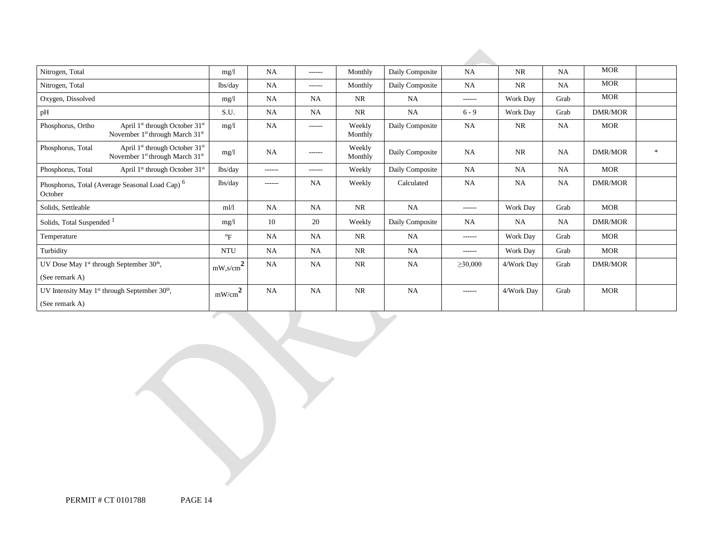| Nitrogen, Total                                                                                                    | mg/l                          | <b>NA</b> | ------        | Monthly           | Daily Composite | NA            | NR         | NA        | <b>MOR</b>     |        |
|--------------------------------------------------------------------------------------------------------------------|-------------------------------|-----------|---------------|-------------------|-----------------|---------------|------------|-----------|----------------|--------|
| Nitrogen, Total                                                                                                    | lbs/day                       | <b>NA</b> | ------        | Monthly           | Daily Composite | NA            | <b>NR</b>  | NA        | <b>MOR</b>     |        |
| Oxygen, Dissolved                                                                                                  | mg/l                          | <b>NA</b> | <b>NA</b>     | <b>NR</b>         | <b>NA</b>       | ------        | Work Day   | Grab      | <b>MOR</b>     |        |
| pH                                                                                                                 | S.U.                          | <b>NA</b> | NA            | <b>NR</b>         | NA              | $6 - 9$       | Work Day   | Grab      | <b>DMR/MOR</b> |        |
| Phosphorus, Ortho<br>April $1st$ through October $31st$<br>November 1 <sup>st</sup> through March 31 <sup>st</sup> | mg/1                          | <b>NA</b> | $- - - - - -$ | Weekly<br>Monthly | Daily Composite | <b>NA</b>     | <b>NR</b>  | <b>NA</b> | <b>MOR</b>     |        |
| April 1st through October 31st<br>Phosphorus, Total<br>November 1 <sup>st</sup> through March 31 <sup>st</sup>     | mg/l                          | <b>NA</b> | ------        | Weekly<br>Monthly | Daily Composite | <b>NA</b>     | <b>NR</b>  | NA        | <b>DMR/MOR</b> | $\ast$ |
| Phosphorus, Total<br>April 1 <sup>st</sup> through October 31 <sup>st</sup>                                        | lbs/day                       | ------    | ------        | Weekly            | Daily Composite | <b>NA</b>     | <b>NA</b>  | <b>NA</b> | <b>MOR</b>     |        |
| Phosphorus, Total (Average Seasonal Load Cap) <sup>6</sup><br>October                                              | lbs/day                       | ------    | NA            | Weekly            | Calculated      | <b>NA</b>     | <b>NA</b>  | <b>NA</b> | <b>DMR/MOR</b> |        |
| Solids, Settleable                                                                                                 | $m$ <sup><math>l</math></sup> | <b>NA</b> | <b>NA</b>     | NR.               | NA              | ------        | Work Day   | Grab      | <b>MOR</b>     |        |
| Solids, Total Suspended <sup>1</sup>                                                                               | mg/1                          | 10        | 20            | Weekly            | Daily Composite | NA            | NA         | <b>NA</b> | <b>DMR/MOR</b> |        |
| Temperature                                                                                                        | $\mathrm{P}_{\mathrm{F}}$     | <b>NA</b> | <b>NA</b>     | NR                | <b>NA</b>       | ------        | Work Day   | Grab      | MOR            |        |
| Turbidity                                                                                                          | <b>NTU</b>                    | <b>NA</b> | NA            | <b>NR</b>         | <b>NA</b>       | ------        | Work Day   | Grab      | <b>MOR</b>     |        |
| UV Dose May 1 <sup>st</sup> through September $30th$ ,                                                             | $mW$ ,s/cm <sup>2</sup>       | <b>NA</b> | <b>NA</b>     | <b>NR</b>         | <b>NA</b>       | $\geq 30,000$ | 4/Work Day | Grab      | <b>DMR/MOR</b> |        |
| (See remark A)                                                                                                     |                               |           |               |                   |                 |               |            |           |                |        |
| UV Intensity May $1st$ through September $30th$ ,<br>(See remark A)                                                | mW/cm <sup>2</sup>            | <b>NA</b> | NA            | <b>NR</b>         | <b>NA</b>       | ------        | 4/Work Day | Grab      | <b>MOR</b>     |        |

PERMIT # CT 0101788 PAGE 14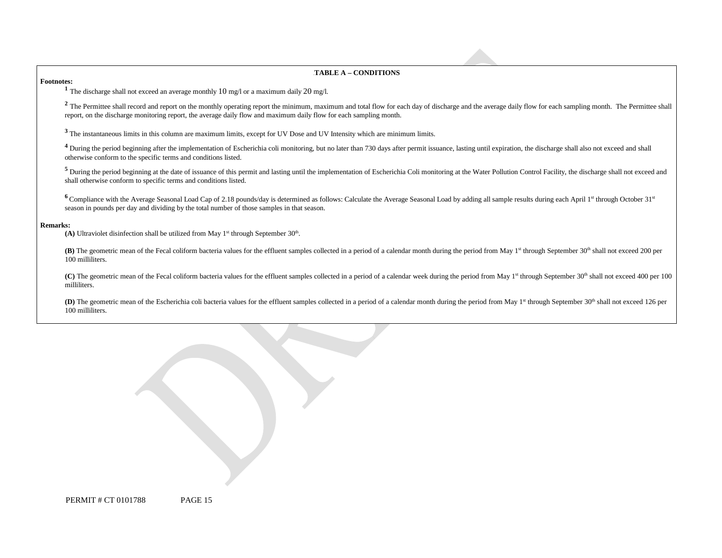#### 6B**TABLE A – CONDITIONS**

**Footnotes:** <sup>1</sup> The discharge shall not exceed an average monthly 10 mg/l or a maximum daily 20 mg/l.

<sup>2</sup> The Permittee shall record and report on the monthly operating report the minimum, maximum and total flow for each day of discharge and the average daily flow for each sampling month. The Permittee shall report, on the discharge monitoring report, the average daily flow and maximum daily flow for each sampling month.

<sup>3</sup> The instantaneous limits in this column are maximum limits, except for UV Dose and UV Intensity which are minimum limits.

<sup>4</sup> During the period beginning after the implementation of Escherichia coli monitoring, but no later than 730 days after permit issuance, lasting until expiration, the discharge shall also not exceed and shall otherwise conform to the specific terms and conditions listed.

<sup>5</sup> During the period beginning at the date of issuance of this permit and lasting until the implementation of Escherichia Coli monitoring at the Water Pollution Control Facility, the discharge shall not exceed and shall otherwise conform to specific terms and conditions listed.

<sup>6</sup> Compliance with the Average Seasonal Load Cap of 2.18 pounds/day is determined as follows: Calculate the Average Seasonal Load by adding all sample results during each April 1<sup>st</sup> through October 31<sup>st</sup> season in pounds per day and dividing by the total number of those samples in that season.

#### **Remarks:**

(A) Ultraviolet disinfection shall be utilized from May  $1<sup>st</sup>$  through September  $30<sup>th</sup>$ .

**(B)** The geometric mean of the Fecal coliform bacteria values for the effluent samples collected in a period of a calendar month during the period from May 1<sup>st</sup> through September 30<sup>th</sup> shall not exceed 200 per 100 milliliters.

(C) The geometric mean of the Fecal coliform bacteria values for the effluent samples collected in a period of a calendar week during the period from May 1<sup>st</sup> through September 30<sup>th</sup> shall not exceed 400 per 100 milliliters.

(D) The geometric mean of the Escherichia coli bacteria values for the effluent samples collected in a period of a calendar month during the period from May 1<sup>st</sup> through September 30<sup>th</sup> shall not exceed 126 per 100 milliliters.

| PERMIT# CT 0101788 | PAGE 15 |
|--------------------|---------|
|--------------------|---------|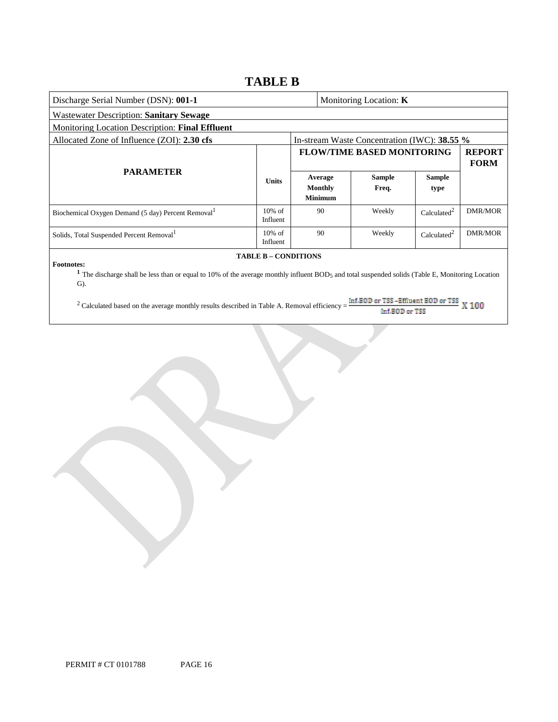### **TABLE B**

| Discharge Serial Number (DSN): 001-1                                                                                                                                                                                                  |                       |                                   |                                      | Monitoring Location: $K$                     |                         |                              |  |
|---------------------------------------------------------------------------------------------------------------------------------------------------------------------------------------------------------------------------------------|-----------------------|-----------------------------------|--------------------------------------|----------------------------------------------|-------------------------|------------------------------|--|
| <b>Wastewater Description: Sanitary Sewage</b>                                                                                                                                                                                        |                       |                                   |                                      |                                              |                         |                              |  |
| Monitoring Location Description: Final Effluent                                                                                                                                                                                       |                       |                                   |                                      |                                              |                         |                              |  |
| Allocated Zone of Influence (ZOI): 2.30 cfs                                                                                                                                                                                           |                       |                                   |                                      | In-stream Waste Concentration (IWC): 38.55 % |                         |                              |  |
|                                                                                                                                                                                                                                       |                       | <b>FLOW/TIME BASED MONITORING</b> |                                      |                                              |                         | <b>REPORT</b><br><b>FORM</b> |  |
| <b>PARAMETER</b>                                                                                                                                                                                                                      | <b>Units</b>          |                                   | Average<br>Monthly<br><b>Minimum</b> | <b>Sample</b><br>Freq.                       | <b>Sample</b><br>type   |                              |  |
| Biochemical Oxygen Demand (5 day) Percent Removal <sup>1</sup>                                                                                                                                                                        | $10\%$ of<br>Influent |                                   | 90                                   | Weekly                                       | Calculated <sup>2</sup> | <b>DMR/MOR</b>               |  |
| $10\%$ of<br>Solids, Total Suspended Percent Removal <sup>1</sup><br>Influent                                                                                                                                                         |                       |                                   | 90                                   | Weekly                                       | Calculated <sup>2</sup> | <b>DMR/MOR</b>               |  |
| <b>TABLE B - CONDITIONS</b><br><b>Footnotes:</b><br><sup>1</sup> The discharge shall be less than or equal to 10% of the average monthly influent BOD <sub>5</sub> and total suspended solids (Table E, Monitoring Location<br>$G$ ). |                       |                                   |                                      |                                              |                         |                              |  |

<sup>2</sup> Calculated based on the average monthly results described in Table A. Removal efficiency =  $\frac{\ln f.B@D \text{ or } TSS - Effl \text{uent } B@D \text{ or } TSS}{\ln f.B@D \text{ or } TSS}$  X 100 Inf.BOD or TSS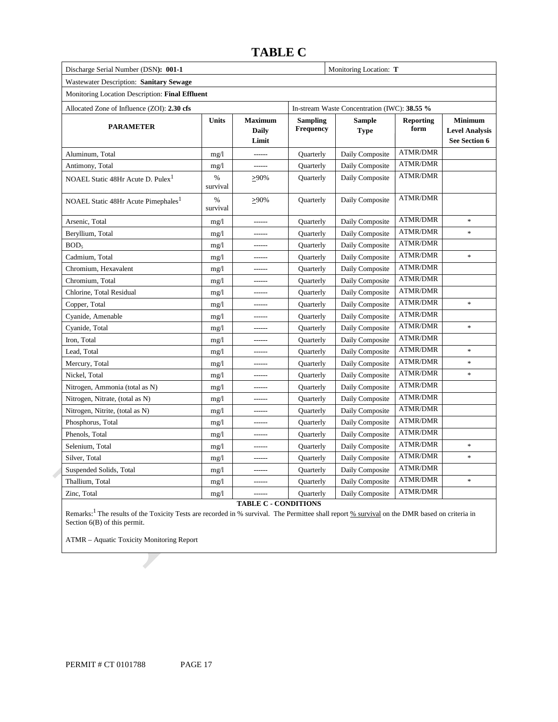### **TABLE C**

Monitoring Location: T

| Discharge Serial Number (DSN): 001-1 |  |
|--------------------------------------|--|
|                                      |  |

### Wastewater Description: **Sanitary Sewage**

|  | Monitoring Location Description: Final Effluent |  |
|--|-------------------------------------------------|--|
|  |                                                 |  |

| Allocated Zone of Influence (ZOI): 2.30 cfs     |                  | In-stream Waste Concentration (IWC): 38.55 % |                              |                              |                          |                                                          |
|-------------------------------------------------|------------------|----------------------------------------------|------------------------------|------------------------------|--------------------------|----------------------------------------------------------|
| <b>PARAMETER</b>                                | <b>Units</b>     | <b>Maximum</b><br><b>Daily</b><br>Limit      | <b>Sampling</b><br>Frequency | <b>Sample</b><br><b>Type</b> | <b>Reporting</b><br>form | <b>Minimum</b><br><b>Level Analysis</b><br>See Section 6 |
| Aluminum, Total                                 | mg/1             | ------                                       | Quarterly                    | Daily Composite              | <b>ATMR/DMR</b>          |                                                          |
| Antimony, Total                                 | mg/1             | ------                                       | Quarterly                    | Daily Composite              | ATMR/DMR                 |                                                          |
| NOAEL Static 48Hr Acute D. Pulex <sup>1</sup>   | $\%$<br>survival | >90%                                         | Quarterly                    | Daily Composite              | <b>ATMR/DMR</b>          |                                                          |
| NOAEL Static 48Hr Acute Pimephales <sup>1</sup> | $\%$<br>survival | $>90\%$                                      | Quarterly                    | Daily Composite              | <b>ATMR/DMR</b>          |                                                          |
| Arsenic, Total                                  | mg/1             | ------                                       | Quarterly                    | Daily Composite              | <b>ATMR/DMR</b>          | ×                                                        |
| Beryllium, Total                                | mg/1             |                                              | Quarterly                    | Daily Composite              | <b>ATMR/DMR</b>          | $\ast$                                                   |
| BOD <sub>5</sub>                                | mg/1             | ------                                       | Quarterly                    | Daily Composite              | <b>ATMR/DMR</b>          |                                                          |
| Cadmium, Total                                  | mg/1             | ------                                       | Quarterly                    | Daily Composite              | <b>ATMR/DMR</b>          | $\ast$                                                   |
| Chromium, Hexavalent                            | mg/1             | ------                                       | Quarterly                    | Daily Composite              | <b>ATMR/DMR</b>          |                                                          |
| Chromium, Total                                 | mg/1             | ------                                       | Quarterly                    | Daily Composite              | <b>ATMR/DMR</b>          |                                                          |
| Chlorine, Total Residual                        | mg/1             | ------                                       | Quarterly                    | Daily Composite              | <b>ATMR/DMR</b>          |                                                          |
| Copper, Total                                   | mg/1             | ------                                       | Quarterly                    | Daily Composite              | <b>ATMR/DMR</b>          | $\ast$                                                   |
| Cyanide, Amenable                               | mg/1             | ------                                       | Quarterly                    | Daily Composite              | <b>ATMR/DMR</b>          |                                                          |
| Cyanide, Total                                  | mg/l             | -------                                      | Quarterly                    | Daily Composite              | ATMR/DMR                 | $\ast$                                                   |
| Iron, Total                                     | mg/l             | ------                                       | Quarterly                    | Daily Composite              | <b>ATMR/DMR</b>          |                                                          |
| Lead, Total                                     | mg/1             |                                              | Quarterly                    | Daily Composite              | ATMR/DMR                 | $\ast$                                                   |
| Mercury, Total                                  | mg/1             | ------                                       | Quarterly                    | Daily Composite              | <b>ATMR/DMR</b>          | ×                                                        |
| Nickel, Total                                   | mg/1             | $- - - - - -$                                | Quarterly                    | Daily Composite              | <b>ATMR/DMR</b>          | $\ast$                                                   |
| Nitrogen, Ammonia (total as N)                  | mg/1             | ------                                       | Quarterly                    | Daily Composite              | <b>ATMR/DMR</b>          |                                                          |
| Nitrogen, Nitrate, (total as N)                 | mg/l             | ------                                       | Quarterly                    | Daily Composite              | <b>ATMR/DMR</b>          |                                                          |
| Nitrogen, Nitrite, (total as N)                 | mg/l             |                                              | Quarterly                    | Daily Composite              | <b>ATMR/DMR</b>          |                                                          |
| Phosphorus, Total                               | mg/1             |                                              | Quarterly                    | Daily Composite              | ATMR/DMR                 |                                                          |
| Phenols, Total                                  | mg/1             | ------                                       | Quarterly                    | Daily Composite              | <b>ATMR/DMR</b>          |                                                          |
| Selenium, Total                                 | mg/1             | ------                                       | Quarterly                    | Daily Composite              | ATMR/DMR                 | $\ast$                                                   |
| Silver, Total                                   | mg/l             | ------                                       | Quarterly                    | Daily Composite              | <b>ATMR/DMR</b>          | $\ast$                                                   |
| Suspended Solids, Total                         | mg/1             | ------                                       | Quarterly                    | Daily Composite              | ATMR/DMR                 |                                                          |
| Thallium, Total                                 | mg/l             | ------                                       | Quarterly                    | Daily Composite              | <b>ATMR/DMR</b>          | $\ast$                                                   |
| Zinc, Total                                     | mg/1             | $- - - - - -$                                | Quarterly                    | Daily Composite              | <b>ATMR/DMR</b>          |                                                          |

### **TABLE C - CONDITIONS**

Remarks:<sup>1</sup> The results of the Toxicity Tests are recorded in % survival. The Permittee shall report <u>% survival</u> on the DMR based on criteria in Section  $6(B)$  of this permit.

ATMR – Aquatic Toxicity Monitoring Report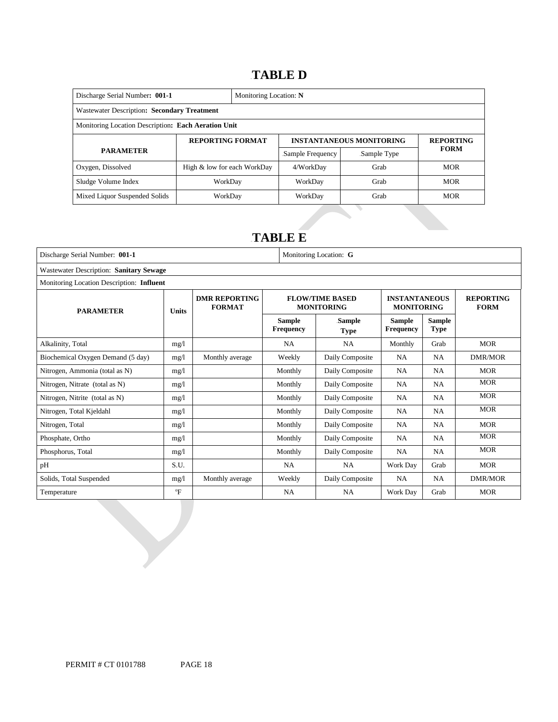### 14B**TABLE D**

| Discharge Serial Number: 001-1<br>Monitoring Location: N |                             |  |                  |                                 |                  |  |
|----------------------------------------------------------|-----------------------------|--|------------------|---------------------------------|------------------|--|
| Wastewater Description: Secondary Treatment              |                             |  |                  |                                 |                  |  |
| Monitoring Location Description: Each Aeration Unit      |                             |  |                  |                                 |                  |  |
| <b>REPORTING FORMAT</b>                                  |                             |  |                  | <b>INSTANTANEOUS MONITORING</b> | <b>REPORTING</b> |  |
| <b>PARAMETER</b>                                         |                             |  | Sample Frequency | Sample Type                     | <b>FORM</b>      |  |
| Oxygen, Dissolved                                        | High & low for each WorkDay |  | 4/WorkDay        | Grab                            | <b>MOR</b>       |  |
| Sludge Volume Index                                      | WorkDav                     |  | WorkDay          | Grab                            | <b>MOR</b>       |  |
| Mixed Liquor Suspended Solids                            | WorkDay                     |  | WorkDay          | Grab                            | <b>MOR</b>       |  |

### 15B**TABLE E**

| Discharge Serial Number: 001-1            |              | Monitoring Location: G                |                                   |                                             |                                           |                              |                                 |  |
|-------------------------------------------|--------------|---------------------------------------|-----------------------------------|---------------------------------------------|-------------------------------------------|------------------------------|---------------------------------|--|
| Wastewater Description: Sanitary Sewage   |              |                                       |                                   |                                             |                                           |                              |                                 |  |
| Monitoring Location Description: Influent |              |                                       |                                   |                                             |                                           |                              |                                 |  |
| <b>PARAMETER</b>                          | <b>Units</b> | <b>DMR REPORTING</b><br><b>FORMAT</b> |                                   | <b>FLOW/TIME BASED</b><br><b>MONITORING</b> | <b>INSTANTANEOUS</b><br><b>MONITORING</b> |                              | <b>REPORTING</b><br><b>FORM</b> |  |
|                                           |              |                                       | <b>Sample</b><br><b>Frequency</b> | Sample<br><b>Type</b>                       | <b>Sample</b><br><b>Frequency</b>         | <b>Sample</b><br><b>Type</b> |                                 |  |
| Alkalinity, Total                         | mg/1         |                                       | <b>NA</b>                         | <b>NA</b>                                   | Monthly                                   | Grab                         | <b>MOR</b>                      |  |
| Biochemical Oxygen Demand (5 day)         | mg/1         | Monthly average                       | Weekly                            | Daily Composite                             | <b>NA</b>                                 | <b>NA</b>                    | <b>DMR/MOR</b>                  |  |
| Nitrogen, Ammonia (total as N)            | mg/1         |                                       | Monthly                           | Daily Composite                             | <b>NA</b>                                 | <b>NA</b>                    | <b>MOR</b>                      |  |
| Nitrogen, Nitrate (total as N)            | mg/1         |                                       | Monthly                           | Daily Composite                             | <b>NA</b>                                 | <b>NA</b>                    | <b>MOR</b>                      |  |
| Nitrogen, Nitrite (total as N)            | mg/1         |                                       | Monthly                           | Daily Composite                             | <b>NA</b>                                 | <b>NA</b>                    | <b>MOR</b>                      |  |
| Nitrogen, Total Kjeldahl                  | mg/1         |                                       | Monthly                           | Daily Composite                             | <b>NA</b>                                 | <b>NA</b>                    | <b>MOR</b>                      |  |
| Nitrogen, Total                           | mg/1         |                                       | Monthly                           | Daily Composite                             | <b>NA</b>                                 | <b>NA</b>                    | <b>MOR</b>                      |  |
| Phosphate, Ortho                          | mg/1         |                                       | Monthly                           | Daily Composite                             | <b>NA</b>                                 | <b>NA</b>                    | <b>MOR</b>                      |  |
| Phosphorus, Total                         | mg/1         |                                       | Monthly                           | Daily Composite                             | <b>NA</b>                                 | <b>NA</b>                    | <b>MOR</b>                      |  |
| pH                                        | S.U.         |                                       | <b>NA</b>                         | <b>NA</b>                                   | Work Day                                  | Grab                         | <b>MOR</b>                      |  |
| Solids, Total Suspended                   | mg/1         | Monthly average                       | Weekly                            | Daily Composite                             | <b>NA</b>                                 | <b>NA</b>                    | <b>DMR/MOR</b>                  |  |
| Temperature                               | $\mathrm{P}$ |                                       | <b>NA</b>                         | <b>NA</b>                                   | Work Day                                  | Grab                         | <b>MOR</b>                      |  |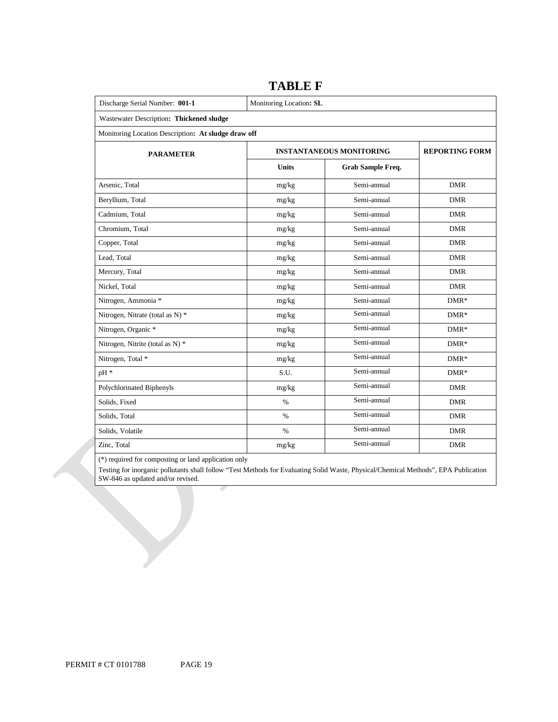| Discharge Serial Number: 001-1                      | Monitoring Location: SL |                                 |                       |  |  |  |  |  |
|-----------------------------------------------------|-------------------------|---------------------------------|-----------------------|--|--|--|--|--|
| .Wastewater Description: Thickened sludge           |                         |                                 |                       |  |  |  |  |  |
| Monitoring Location Description: At sludge draw off |                         |                                 |                       |  |  |  |  |  |
| <b>PARAMETER</b>                                    |                         | <b>INSTANTANEOUS MONITORING</b> | <b>REPORTING FORM</b> |  |  |  |  |  |
|                                                     | <b>Units</b>            | Grab Sample Freq.               |                       |  |  |  |  |  |
| Arsenic, Total                                      | mg/kg                   | Semi-annual                     | <b>DMR</b>            |  |  |  |  |  |
| Beryllium, Total                                    | mg/kg                   | Semi-annual                     | <b>DMR</b>            |  |  |  |  |  |
| Cadmium, Total                                      | mg/kg                   | Semi-annual                     | <b>DMR</b>            |  |  |  |  |  |
| Chromium, Total                                     | mg/kg                   | Semi-annual                     | <b>DMR</b>            |  |  |  |  |  |
| Copper, Total                                       | mg/kg                   | Semi-annual                     | <b>DMR</b>            |  |  |  |  |  |
| Lead, Total                                         | mg/kg                   | Semi-annual                     | <b>DMR</b>            |  |  |  |  |  |
| Mercury, Total                                      | mg/kg                   | Semi-annual                     | <b>DMR</b>            |  |  |  |  |  |
| Nickel, Total                                       | mg/kg                   | Semi-annual                     | <b>DMR</b>            |  |  |  |  |  |
| Nitrogen, Ammonia *                                 | mg/kg                   | Semi-annual                     | $DMR*$                |  |  |  |  |  |
| Nitrogen, Nitrate (total as N) *                    | mg/kg                   | Semi-annual                     | $DMR*$                |  |  |  |  |  |
| Nitrogen, Organic *                                 | mg/kg                   | Semi-annual                     | $DMR*$                |  |  |  |  |  |
| Nitrogen, Nitrite (total as N) *                    | mg/kg                   | Semi-annual                     | $DMR*$                |  |  |  |  |  |
| Nitrogen, Total *                                   | mg/kg                   | Semi-annual                     | $DMR*$                |  |  |  |  |  |
| pH *                                                | S.U.                    | Semi-annual                     | $DMR*$                |  |  |  |  |  |
| Polychlorinated Biphenyls                           | mg/kg                   | Semi-annual                     | <b>DMR</b>            |  |  |  |  |  |
| Solids, Fixed                                       | $\%$                    | Semi-annual                     | <b>DMR</b>            |  |  |  |  |  |
| Solids, Total                                       | $\%$                    | $Semi$ -annual                  | <b>DMR</b>            |  |  |  |  |  |
| Solids, Volatile                                    | $\%$                    | Semi-annual                     | <b>DMR</b>            |  |  |  |  |  |
| Zinc, Total                                         | mg/kg                   | Semi-annual                     | <b>DMR</b>            |  |  |  |  |  |

**TABLE F**

(\*) required for composting or land application only

Testing for inorganic pollutants shall follow "Test Methods for Evaluating Solid Waste, Physical/Chemical Methods", EPA Publication SW-846 as updated and/or revised.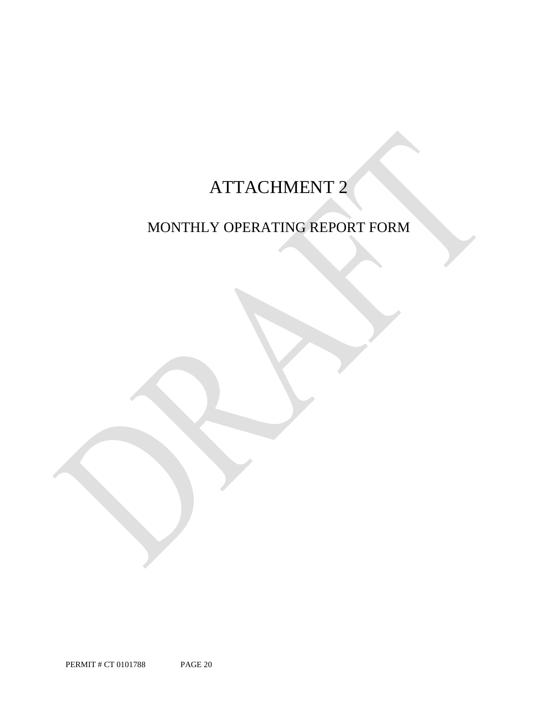# ATTACHMENT 2

## MONTHLY OPERATING REPORT FORM

PERMIT # CT 0101788 PAGE 20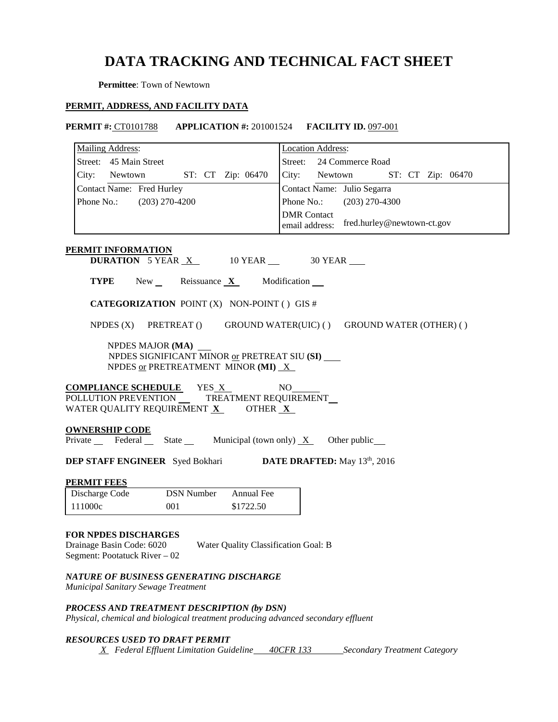## **DATA TRACKING AND TECHNICAL FACT SHEET**

**Permittee**: Town of Newtown

### **PERMIT, ADDRESS, AND FACILITY DATA**

**PERMIT #:** CT0101788 **APPLICATION #:** 201001524 **FACILITY ID.** 097-001

| <b>Mailing Address:</b>                                                                                                               | <b>Location Address:</b>                                           |  |  |  |  |  |  |
|---------------------------------------------------------------------------------------------------------------------------------------|--------------------------------------------------------------------|--|--|--|--|--|--|
| Street: 45 Main Street                                                                                                                | Street: 24 Commerce Road                                           |  |  |  |  |  |  |
| City: Newtown<br>ST: CT Zip: 06470                                                                                                    | City: Newtown ST: CT Zip: 06470                                    |  |  |  |  |  |  |
| Contact Name: Fred Hurley                                                                                                             | Contact Name: Julio Segarra                                        |  |  |  |  |  |  |
| Phone No.: (203) 270-4200                                                                                                             | Phone No.: (203) 270-4300                                          |  |  |  |  |  |  |
|                                                                                                                                       | <b>DMR</b> Contact<br>fred.hurley@newtown-ct.gov<br>email address: |  |  |  |  |  |  |
| <b>PERMIT INFORMATION</b>                                                                                                             |                                                                    |  |  |  |  |  |  |
| <b>DURATION</b> 5 YEAR $X$ 10 YEAR $\_\$ 30 YEAR $\_\$                                                                                |                                                                    |  |  |  |  |  |  |
| <b>TYPE</b> New Reissuance $X$ Modification $\blacksquare$                                                                            |                                                                    |  |  |  |  |  |  |
| <b>CATEGORIZATION POINT (X) NON-POINT () GIS #</b>                                                                                    |                                                                    |  |  |  |  |  |  |
| NPDES (X) PRETREAT () GROUND WATER(UIC) () GROUND WATER (OTHER) ()                                                                    |                                                                    |  |  |  |  |  |  |
| NPDES MAJOR (MA) _<br>NPDES SIGNIFICANT MINOR or PRETREAT SIU (SI)<br>NPDES or PRETREATMENT MINOR (MI) $X$                            |                                                                    |  |  |  |  |  |  |
| <b>COMPLIANCE SCHEDULE</b> YES X                                                                                                      | NO.                                                                |  |  |  |  |  |  |
| POLLUTION PREVENTION _____ TREATMENT REQUIREMENT<br>WATER QUALITY REQUIREMENT $\underline{\mathbf{X}}$ OTHER $\underline{\mathbf{X}}$ |                                                                    |  |  |  |  |  |  |
| <b>OWNERSHIP CODE</b><br>Private Federal State Municipal (town only) $X$ Other public                                                 |                                                                    |  |  |  |  |  |  |
| <b>DEP STAFF ENGINEER</b> Syed Bokhari <b>DATE DRAFTED:</b> May 13 <sup>th</sup> , 2016                                               |                                                                    |  |  |  |  |  |  |
| <b>PERMIT FEES</b>                                                                                                                    |                                                                    |  |  |  |  |  |  |
| Discharge Code<br><b>DSN Number</b><br>Annual Fee                                                                                     |                                                                    |  |  |  |  |  |  |
| 111000c<br>001<br>\$1722.50                                                                                                           |                                                                    |  |  |  |  |  |  |
| <b>FOR NPDES DISCHARGES</b><br>Water Quality Classification Goal: B<br>Drainage Basin Code: 6020<br>Segment: Pootatuck River - 02     |                                                                    |  |  |  |  |  |  |
| NATURE OF BUSINESS GENERATING DISCHARGE<br>Municipal Sanitary Sewage Treatment                                                        |                                                                    |  |  |  |  |  |  |
| PROCESS AND TREATMENT DESCRIPTION (by DSN)<br>Physical, chemical and biological treatment producing advanced secondary effluent       |                                                                    |  |  |  |  |  |  |
| <b>RESOURCES USED TO DRAFT PERMIT</b>                                                                                                 |                                                                    |  |  |  |  |  |  |

*X Federal Effluent Limitation Guideline 40CFR 133 Secondary Treatment Category*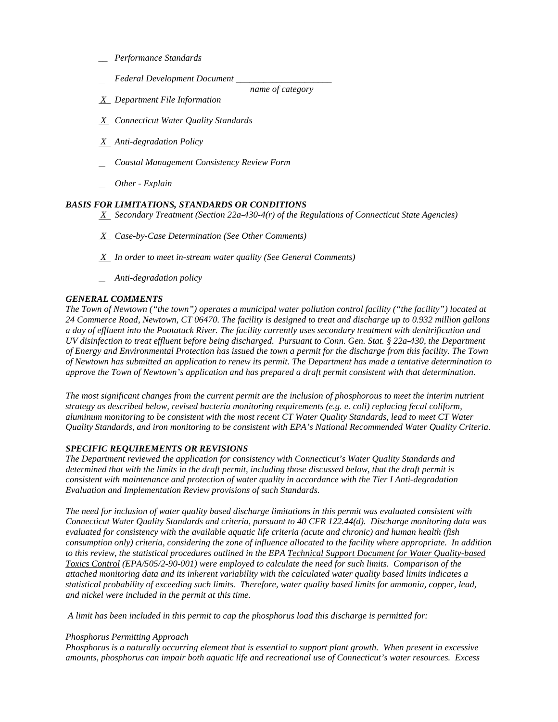- *\_\_ Performance Standards*
- *Federal Development Document \_\_\_\_\_\_\_\_\_\_\_\_\_\_\_\_\_\_\_\_\_*

 *name of category*

- *X Department File Information*
- *X Connecticut Water Quality Standards*
- *X Anti-degradation Policy*
- *Coastal Management Consistency Review Form*
- *Other Explain*

### *BASIS FOR LIMITATIONS, STANDARDS OR CONDITIONS*

 *X Secondary Treatment (Section 22a-430-4(r) of the Regulations of Connecticut State Agencies)*

- *X Case-by-Case Determination (See Other Comments)*
- *X In order to meet in-stream water quality (See General Comments)*
- *Anti-degradation policy*

### *GENERAL COMMENTS*

*The Town of Newtown ("the town") operates a municipal water pollution control facility ("the facility") located at 24 Commerce Road, Newtown, CT 06470. The facility is designed to treat and discharge up to 0.932 million gallons a day of effluent into the Pootatuck River. The facility currently uses secondary treatment with denitrification and UV disinfection to treat effluent before being discharged. Pursuant to Conn. Gen. Stat. § 22a-430, the Department of Energy and Environmental Protection has issued the town a permit for the discharge from this facility. The Town of Newtown has submitted an application to renew its permit. The Department has made a tentative determination to approve the Town of Newtown's application and has prepared a draft permit consistent with that determination.* 

*The most significant changes from the current permit are the inclusion of phosphorous to meet the interim nutrient strategy as described below, revised bacteria monitoring requirements (e.g. e. coli) replacing fecal coliform, aluminum monitoring to be consistent with the most recent CT Water Quality Standards, lead to meet CT Water Quality Standards, and iron monitoring to be consistent with EPA's National Recommended Water Quality Criteria.* 

### *SPECIFIC REQUIREMENTS OR REVISIONS*

*The Department reviewed the application for consistency with Connecticut's Water Quality Standards and determined that with the limits in the draft permit, including those discussed below, that the draft permit is consistent with maintenance and protection of water quality in accordance with the Tier I Anti-degradation Evaluation and Implementation Review provisions of such Standards.*

*The need for inclusion of water quality based discharge limitations in this permit was evaluated consistent with Connecticut Water Quality Standards and criteria, pursuant to 40 CFR 122.44(d). Discharge monitoring data was evaluated for consistency with the available aquatic life criteria (acute and chronic) and human health (fish consumption only) criteria, considering the zone of influence allocated to the facility where appropriate. In addition to this review, the statistical procedures outlined in the EPA Technical Support Document for Water Quality-based Toxics Control (EPA/505/2-90-001) were employed to calculate the need for such limits. Comparison of the attached monitoring data and its inherent variability with the calculated water quality based limits indicates a statistical probability of exceeding such limits. Therefore, water quality based limits for ammonia, copper, lead, and nickel were included in the permit at this time.* 

*A limit has been included in this permit to cap the phosphorus load this discharge is permitted for:*

### *Phosphorus Permitting Approach*

*Phosphorus is a naturally occurring element that is essential to support plant growth. When present in excessive amounts, phosphorus can impair both aquatic life and recreational use of Connecticut's water resources. Excess*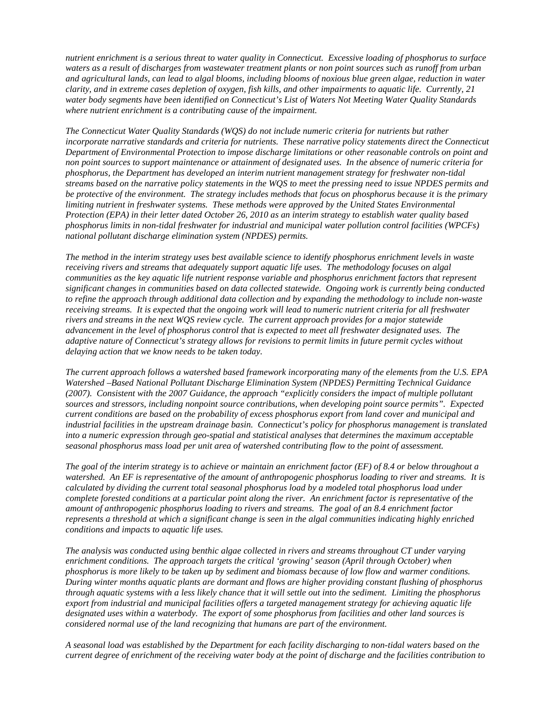*nutrient enrichment is a serious threat to water quality in Connecticut. Excessive loading of phosphorus to surface waters as a result of discharges from wastewater treatment plants or non point sources such as runoff from urban and agricultural lands, can lead to algal blooms, including blooms of noxious blue green algae, reduction in water clarity, and in extreme cases depletion of oxygen, fish kills, and other impairments to aquatic life. Currently, 21 water body segments have been identified on Connecticut's List of Waters Not Meeting Water Quality Standards where nutrient enrichment is a contributing cause of the impairment.* 

*The Connecticut Water Quality Standards (WQS) do not include numeric criteria for nutrients but rather incorporate narrative standards and criteria for nutrients. These narrative policy statements direct the Connecticut Department of Environmental Protection to impose discharge limitations or other reasonable controls on point and non point sources to support maintenance or attainment of designated uses. In the absence of numeric criteria for phosphorus, the Department has developed an interim nutrient management strategy for freshwater non-tidal streams based on the narrative policy statements in the WQS to meet the pressing need to issue NPDES permits and be protective of the environment. The strategy includes methods that focus on phosphorus because it is the primary limiting nutrient in freshwater systems. These methods were approved by the United States Environmental Protection (EPA) in their letter dated October 26, 2010 as an interim strategy to establish water quality based phosphorus limits in non-tidal freshwater for industrial and municipal water pollution control facilities (WPCFs) national pollutant discharge elimination system (NPDES) permits.* 

*The method in the interim strategy uses best available science to identify phosphorus enrichment levels in waste receiving rivers and streams that adequately support aquatic life uses. The methodology focuses on algal communities as the key aquatic life nutrient response variable and phosphorus enrichment factors that represent significant changes in communities based on data collected statewide. Ongoing work is currently being conducted to refine the approach through additional data collection and by expanding the methodology to include non-waste receiving streams. It is expected that the ongoing work will lead to numeric nutrient criteria for all freshwater rivers and streams in the next WQS review cycle. The current approach provides for a major statewide advancement in the level of phosphorus control that is expected to meet all freshwater designated uses. The adaptive nature of Connecticut's strategy allows for revisions to permit limits in future permit cycles without delaying action that we know needs to be taken today.*

*The current approach follows a watershed based framework incorporating many of the elements from the U.S. EPA Watershed –Based National Pollutant Discharge Elimination System (NPDES) Permitting Technical Guidance (2007). Consistent with the 2007 Guidance, the approach "explicitly considers the impact of multiple pollutant sources and stressors, including nonpoint source contributions, when developing point source permits". Expected current conditions are based on the probability of excess phosphorus export from land cover and municipal and industrial facilities in the upstream drainage basin. Connecticut's policy for phosphorus management is translated into a numeric expression through geo-spatial and statistical analyses that determines the maximum acceptable seasonal phosphorus mass load per unit area of watershed contributing flow to the point of assessment.* 

*The goal of the interim strategy is to achieve or maintain an enrichment factor (EF) of 8.4 or below throughout a watershed. An EF is representative of the amount of anthropogenic phosphorus loading to river and streams. It is calculated by dividing the current total seasonal phosphorus load by a modeled total phosphorus load under complete forested conditions at a particular point along the river. An enrichment factor is representative of the amount of anthropogenic phosphorus loading to rivers and streams. The goal of an 8.4 enrichment factor represents a threshold at which a significant change is seen in the algal communities indicating highly enriched conditions and impacts to aquatic life uses.* 

*The analysis was conducted using benthic algae collected in rivers and streams throughout CT under varying enrichment conditions. The approach targets the critical 'growing' season (April through October) when phosphorus is more likely to be taken up by sediment and biomass because of low flow and warmer conditions. During winter months aquatic plants are dormant and flows are higher providing constant flushing of phosphorus through aquatic systems with a less likely chance that it will settle out into the sediment. Limiting the phosphorus export from industrial and municipal facilities offers a targeted management strategy for achieving aquatic life designated uses within a waterbody. The export of some phosphorus from facilities and other land sources is considered normal use of the land recognizing that humans are part of the environment.* 

*A seasonal load was established by the Department for each facility discharging to non-tidal waters based on the current degree of enrichment of the receiving water body at the point of discharge and the facilities contribution to*